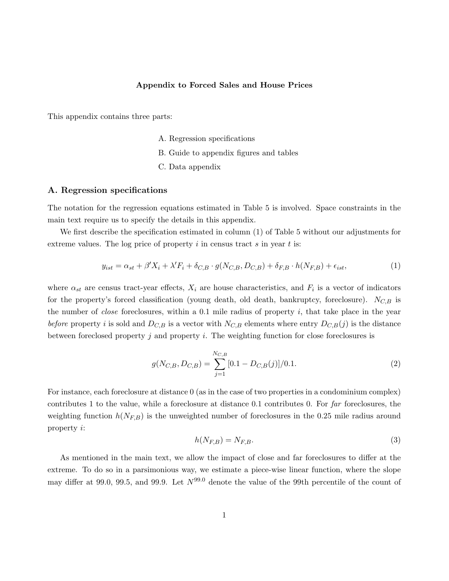# Appendix to Forced Sales and House Prices

This appendix contains three parts:

- A. Regression specifications
- B. Guide to appendix figures and tables
- C. Data appendix

## A. Regression specifications

The notation for the regression equations estimated in Table 5 is involved. Space constraints in the main text require us to specify the details in this appendix.

We first describe the specification estimated in column (1) of Table 5 without our adjustments for extreme values. The log price of property  $i$  in census tract  $s$  in year  $t$  is:

$$
y_{ist} = \alpha_{st} + \beta' X_i + \lambda' F_i + \delta_{C,B} \cdot g(N_{C,B}, D_{C,B}) + \delta_{F,B} \cdot h(N_{F,B}) + \epsilon_{ist},\tag{1}
$$

where  $\alpha_{st}$  are census tract-year effects,  $X_i$  are house characteristics, and  $F_i$  is a vector of indicators for the property's forced classification (young death, old death, bankruptcy, foreclosure).  $N_{C,B}$  is the number of *close* foreclosures, within a 0.1 mile radius of property  $i$ , that take place in the year before property i is sold and  $D_{C,B}$  is a vector with  $N_{C,B}$  elements where entry  $D_{C,B}(j)$  is the distance between foreclosed property  $j$  and property  $i$ . The weighting function for close foreclosures is

$$
g(N_{C,B}, D_{C,B}) = \sum_{j=1}^{N_{C,B}} [0.1 - D_{C,B}(j)]/0.1.
$$
 (2)

For instance, each foreclosure at distance 0 (as in the case of two properties in a condominium complex) contributes 1 to the value, while a foreclosure at distance 0.1 contributes 0. For far foreclosures, the weighting function  $h(N_{F,B})$  is the unweighted number of foreclosures in the 0.25 mile radius around property i:

$$
h(N_{F,B}) = N_{F,B}.\tag{3}
$$

As mentioned in the main text, we allow the impact of close and far foreclosures to differ at the extreme. To do so in a parsimonious way, we estimate a piece-wise linear function, where the slope may differ at 99.0, 99.5, and 99.9. Let  $N^{99.0}$  denote the value of the 99th percentile of the count of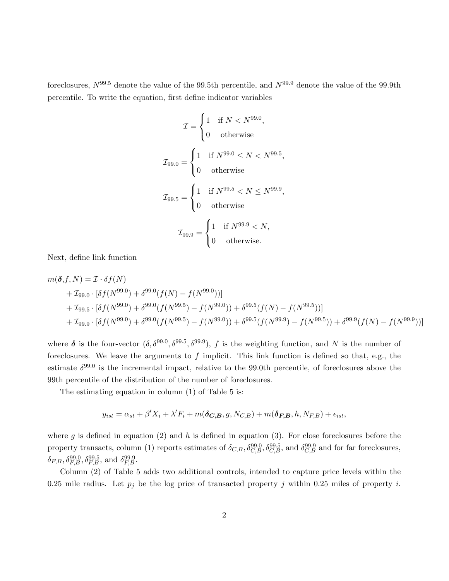foreclosures,  $N^{99.5}$  denote the value of the 99.5th percentile, and  $N^{99.9}$  denote the value of the 99.9th percentile. To write the equation, first define indicator variables

$$
\mathcal{I} = \begin{cases} 1 & \text{if } N < N^{99.0}, \\ 0 & \text{otherwise} \end{cases}
$$
\n
$$
\mathcal{I}_{99.0} = \begin{cases} 1 & \text{if } N^{99.0} \le N < N^{99.5}, \\ 0 & \text{otherwise} \end{cases}
$$
\n
$$
\mathcal{I}_{99.5} = \begin{cases} 1 & \text{if } N^{99.5} < N \le N^{99.9}, \\ 0 & \text{otherwise} \end{cases}
$$
\n
$$
\mathcal{I}_{99.9} = \begin{cases} 1 & \text{if } N^{99.9} < N, \\ 0 & \text{otherwise}. \end{cases}
$$

Next, define link function

$$
m(\delta, f, N) = \mathcal{I} \cdot \delta f(N)
$$
  
+  $\mathcal{I}_{99.0} \cdot [\delta f(N^{99.0}) + \delta^{99.0}(f(N) - f(N^{99.0}))]$   
+  $\mathcal{I}_{99.5} \cdot [\delta f(N^{99.0}) + \delta^{99.0}(f(N^{99.5}) - f(N^{99.0})) + \delta^{99.5}(f(N) - f(N^{99.5}))]$   
+  $\mathcal{I}_{99.9} \cdot [\delta f(N^{99.0}) + \delta^{99.0}(f(N^{99.5}) - f(N^{99.0})) + \delta^{99.5}(f(N^{99.9}) - f(N^{99.5})) + \delta^{99.9}(f(N) - f(N^{99.9}))]$ 

where  $\delta$  is the four-vector  $(\delta, \delta^{99.0}, \delta^{99.5}, \delta^{99.9}), f$  is the weighting function, and N is the number of foreclosures. We leave the arguments to  $f$  implicit. This link function is defined so that, e.g., the estimate  $\delta^{99.0}$  is the incremental impact, relative to the 99.0th percentile, of foreclosures above the 99th percentile of the distribution of the number of foreclosures.

The estimating equation in column (1) of Table 5 is:

$$
y_{ist} = \alpha_{st} + \beta' X_i + \lambda' F_i + m(\delta_{\mathbf{C}, \mathbf{B}}, g, N_{\mathbf{C}, \mathbf{B}}) + m(\delta_{\mathbf{F}, \mathbf{B}}, h, N_{\mathbf{F}, \mathbf{B}}) + \epsilon_{ist},
$$

where g is defined in equation (2) and h is defined in equation (3). For close foreclosures before the property transacts, column (1) reports estimates of  $\delta_{C,B}$ ,  $\delta_{C,B}^{99.0}$ ,  $\delta_{C,B}^{99.5}$ , and  $\delta_{C,B}^{99.9}$  and for far foreclosures,  $\delta_{F,B}, \delta_{F,B}^{99.0}, \delta_{F,B}^{99.5}, \text{ and } \delta_{F,B}^{99.9}.$ 

Column (2) of Table 5 adds two additional controls, intended to capture price levels within the 0.25 mile radius. Let  $p_j$  be the log price of transacted property j within 0.25 miles of property i.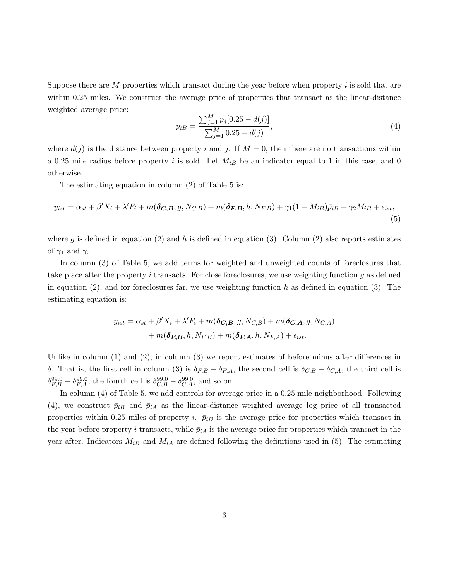Suppose there are  $M$  properties which transact during the year before when property  $i$  is sold that are within 0.25 miles. We construct the average price of properties that transact as the linear-distance weighted average price:

$$
\bar{p}_{iB} = \frac{\sum_{j=1}^{M} p_j [0.25 - d(j)]}{\sum_{j=1}^{M} 0.25 - d(j)},
$$
\n(4)

where  $d(j)$  is the distance between property i and j. If  $M = 0$ , then there are no transactions within a 0.25 mile radius before property i is sold. Let  $M_{iB}$  be an indicator equal to 1 in this case, and 0 otherwise.

The estimating equation in column (2) of Table 5 is:

$$
y_{ist} = \alpha_{st} + \beta' X_i + \lambda' F_i + m(\delta_{\mathbf{C}, \mathbf{B}}, g, N_{\mathbf{C}, \mathbf{B}}) + m(\delta_{\mathbf{F}, \mathbf{B}}, h, N_{\mathbf{F}, \mathbf{B}}) + \gamma_1 (1 - M_{i\mathbf{B}}) \bar{p}_{i\mathbf{B}} + \gamma_2 M_{i\mathbf{B}} + \epsilon_{ist},
$$
\n(5)

where g is defined in equation (2) and h is defined in equation (3). Column (2) also reports estimates of  $\gamma_1$  and  $\gamma_2$ .

In column (3) of Table 5, we add terms for weighted and unweighted counts of foreclosures that take place after the property i transacts. For close foreclosures, we use weighting function  $g$  as defined in equation  $(2)$ , and for foreclosures far, we use weighting function h as defined in equation  $(3)$ . The estimating equation is:

$$
y_{ist} = \alpha_{st} + \beta' X_i + \lambda' F_i + m(\delta_{\mathbf{C}, \mathbf{B}}, g, N_{\mathbf{C}, \mathbf{B}}) + m(\delta_{\mathbf{C}, \mathbf{A}}, g, N_{\mathbf{C}, \mathbf{A}}) + m(\delta_{\mathbf{F}, \mathbf{B}}, h, N_{\mathbf{F}, \mathbf{B}}) + m(\delta_{\mathbf{F}, \mathbf{A}}, h, N_{\mathbf{F}, \mathbf{A}}) + \epsilon_{ist}.
$$

Unlike in column  $(1)$  and  $(2)$ , in column  $(3)$  we report estimates of before minus after differences in δ. That is, the first cell in column (3) is  $\delta_{F,B} - \delta_{F,A}$ , the second cell is  $\delta_{C,B} - \delta_{C,A}$ , the third cell is  $\delta_{F,B}^{99.0} - \delta_{F,A}^{99.0}$ , the fourth cell is  $\delta_{C,B}^{99.0} - \delta_{C,A}^{99.0}$ , and so on.

In column (4) of Table 5, we add controls for average price in a 0.25 mile neighborhood. Following (4), we construct  $\bar{p}_{iB}$  and  $\bar{p}_{iA}$  as the linear-distance weighted average log price of all transacted properties within 0.25 miles of property i.  $\bar{p}_{iB}$  is the average price for properties which transact in the year before property i transacts, while  $\bar{p}_{iA}$  is the average price for properties which transact in the year after. Indicators  $M_{iB}$  and  $M_{iA}$  are defined following the definitions used in (5). The estimating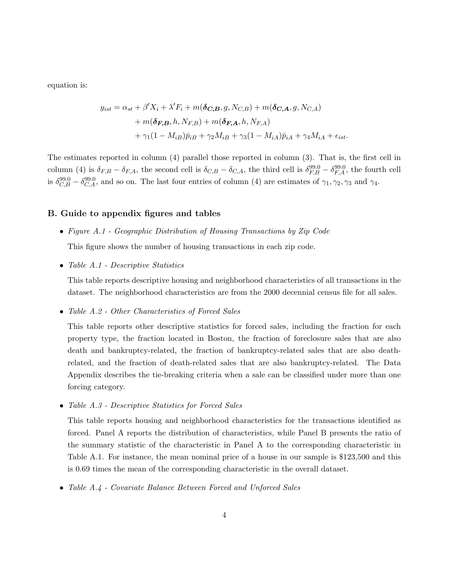equation is:

$$
y_{ist} = \alpha_{st} + \beta' X_i + \lambda' F_i + m(\delta_{\mathbf{C}, \mathbf{B}}, g, N_{\mathbf{C}, \mathbf{B}}) + m(\delta_{\mathbf{C}, \mathbf{A}}, g, N_{\mathbf{C}, \mathbf{A}})
$$
  
+ 
$$
m(\delta_{\mathbf{F}, \mathbf{B}}, h, N_{\mathbf{F}, \mathbf{B}}) + m(\delta_{\mathbf{F}, \mathbf{A}}, h, N_{\mathbf{F}, \mathbf{A}})
$$
  
+ 
$$
\gamma_1 (1 - M_{iB}) \bar{p}_{iB} + \gamma_2 M_{iB} + \gamma_3 (1 - M_{iA}) \bar{p}_{iA} + \gamma_4 M_{iA} + \epsilon_{ist}.
$$

The estimates reported in column (4) parallel those reported in column (3). That is, the first cell in column (4) is  $\delta_{F,B} - \delta_{F,A}$ , the second cell is  $\delta_{C,B} - \delta_{C,A}$ , the third cell is  $\delta_{F,B}^{99.0} - \delta_{F,A}^{99.0}$ , the fourth cell is  $\delta_{C,B}^{99.0} - \delta_{C,A}^{99.0}$ , and so on. The last four entries of column (4) are estimates of  $\gamma_1, \gamma_2, \gamma_3$  and  $\gamma_4$ .

# B. Guide to appendix figures and tables

- Figure A.1 Geographic Distribution of Housing Transactions by Zip Code This figure shows the number of housing transactions in each zip code.
- Table A.1 Descriptive Statistics

This table reports descriptive housing and neighborhood characteristics of all transactions in the dataset. The neighborhood characteristics are from the 2000 decennial census file for all sales.

• Table A.2 - Other Characteristics of Forced Sales

This table reports other descriptive statistics for forced sales, including the fraction for each property type, the fraction located in Boston, the fraction of foreclosure sales that are also death and bankruptcy-related, the fraction of bankruptcy-related sales that are also deathrelated, and the fraction of death-related sales that are also bankruptcy-related. The Data Appendix describes the tie-breaking criteria when a sale can be classified under more than one forcing category.

• Table A.3 - Descriptive Statistics for Forced Sales

This table reports housing and neighborhood characteristics for the transactions identified as forced. Panel A reports the distribution of characteristics, while Panel B presents the ratio of the summary statistic of the characteristic in Panel A to the corresponding characteristic in Table A.1. For instance, the mean nominal price of a house in our sample is \$123,500 and this is 0.69 times the mean of the corresponding characteristic in the overall dataset.

• Table A.4 - Covariate Balance Between Forced and Unforced Sales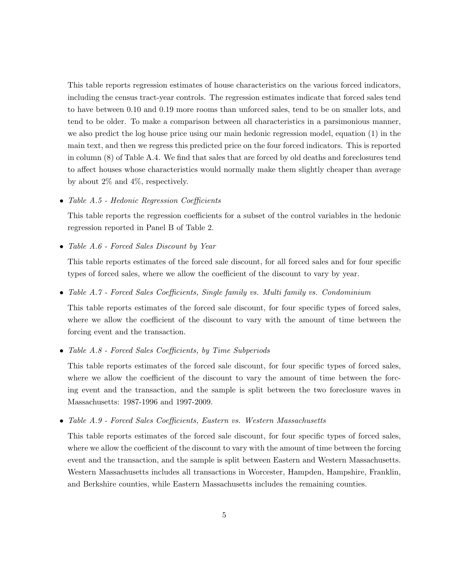This table reports regression estimates of house characteristics on the various forced indicators, including the census tract-year controls. The regression estimates indicate that forced sales tend to have between 0.10 and 0.19 more rooms than unforced sales, tend to be on smaller lots, and tend to be older. To make a comparison between all characteristics in a parsimonious manner, we also predict the log house price using our main hedonic regression model, equation (1) in the main text, and then we regress this predicted price on the four forced indicators. This is reported in column (8) of Table A.4. We find that sales that are forced by old deaths and foreclosures tend to affect houses whose characteristics would normally make them slightly cheaper than average by about 2% and 4%, respectively.

• Table A.5 - Hedonic Regression Coefficients

This table reports the regression coefficients for a subset of the control variables in the hedonic regression reported in Panel B of Table 2.

• Table A.6 - Forced Sales Discount by Year

This table reports estimates of the forced sale discount, for all forced sales and for four specific types of forced sales, where we allow the coefficient of the discount to vary by year.

• Table A.7 - Forced Sales Coefficients, Single family vs. Multi family vs. Condominium

This table reports estimates of the forced sale discount, for four specific types of forced sales, where we allow the coefficient of the discount to vary with the amount of time between the forcing event and the transaction.

• Table A.8 - Forced Sales Coefficients, by Time Subperiods

This table reports estimates of the forced sale discount, for four specific types of forced sales, where we allow the coefficient of the discount to vary the amount of time between the forcing event and the transaction, and the sample is split between the two foreclosure waves in Massachusetts: 1987-1996 and 1997-2009.

• Table A.9 - Forced Sales Coefficients, Eastern vs. Western Massachusetts

This table reports estimates of the forced sale discount, for four specific types of forced sales, where we allow the coefficient of the discount to vary with the amount of time between the forcing event and the transaction, and the sample is split between Eastern and Western Massachusetts. Western Massachusetts includes all transactions in Worcester, Hampden, Hampshire, Franklin, and Berkshire counties, while Eastern Massachusetts includes the remaining counties.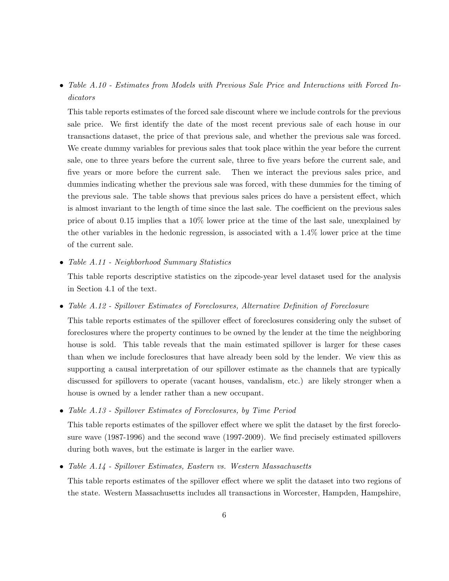• Table A.10 - Estimates from Models with Previous Sale Price and Interactions with Forced Indicators

This table reports estimates of the forced sale discount where we include controls for the previous sale price. We first identify the date of the most recent previous sale of each house in our transactions dataset, the price of that previous sale, and whether the previous sale was forced. We create dummy variables for previous sales that took place within the year before the current sale, one to three years before the current sale, three to five years before the current sale, and five years or more before the current sale. Then we interact the previous sales price, and dummies indicating whether the previous sale was forced, with these dummies for the timing of the previous sale. The table shows that previous sales prices do have a persistent effect, which is almost invariant to the length of time since the last sale. The coefficient on the previous sales price of about 0.15 implies that a 10% lower price at the time of the last sale, unexplained by the other variables in the hedonic regression, is associated with a 1.4% lower price at the time of the current sale.

• Table A.11 - Neighborhood Summary Statistics

This table reports descriptive statistics on the zipcode-year level dataset used for the analysis in Section 4.1 of the text.

• Table A.12 - Spillover Estimates of Foreclosures, Alternative Definition of Foreclosure

This table reports estimates of the spillover effect of foreclosures considering only the subset of foreclosures where the property continues to be owned by the lender at the time the neighboring house is sold. This table reveals that the main estimated spillover is larger for these cases than when we include foreclosures that have already been sold by the lender. We view this as supporting a causal interpretation of our spillover estimate as the channels that are typically discussed for spillovers to operate (vacant houses, vandalism, etc.) are likely stronger when a house is owned by a lender rather than a new occupant.

• Table A.13 - Spillover Estimates of Foreclosures, by Time Period

This table reports estimates of the spillover effect where we split the dataset by the first foreclosure wave (1987-1996) and the second wave (1997-2009). We find precisely estimated spillovers during both waves, but the estimate is larger in the earlier wave.

• Table A.14 - Spillover Estimates, Eastern vs. Western Massachusetts

This table reports estimates of the spillover effect where we split the dataset into two regions of the state. Western Massachusetts includes all transactions in Worcester, Hampden, Hampshire,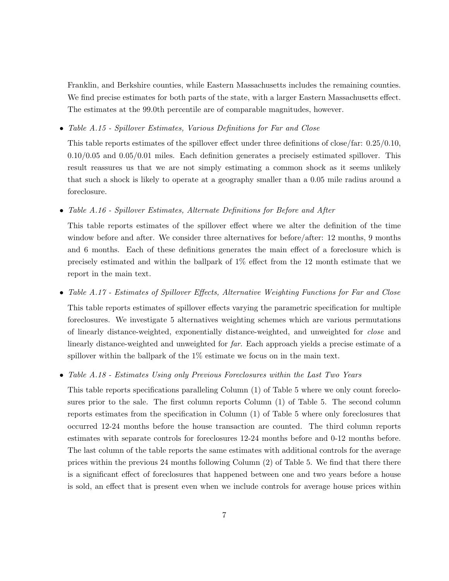Franklin, and Berkshire counties, while Eastern Massachusetts includes the remaining counties. We find precise estimates for both parts of the state, with a larger Eastern Massachusetts effect. The estimates at the 99.0th percentile are of comparable magnitudes, however.

• Table A.15 - Spillover Estimates, Various Definitions for Far and Close

This table reports estimates of the spillover effect under three definitions of close/far: 0.25/0.10,  $0.10/0.05$  and  $0.05/0.01$  miles. Each definition generates a precisely estimated spillover. This result reassures us that we are not simply estimating a common shock as it seems unlikely that such a shock is likely to operate at a geography smaller than a 0.05 mile radius around a foreclosure.

• Table A.16 - Spillover Estimates, Alternate Definitions for Before and After

This table reports estimates of the spillover effect where we alter the definition of the time window before and after. We consider three alternatives for before/after: 12 months, 9 months and 6 months. Each of these definitions generates the main effect of a foreclosure which is precisely estimated and within the ballpark of 1% effect from the 12 month estimate that we report in the main text.

• Table A.17 - Estimates of Spillover Effects, Alternative Weighting Functions for Far and Close This table reports estimates of spillover effects varying the parametric specification for multiple foreclosures. We investigate 5 alternatives weighting schemes which are various permutations of linearly distance-weighted, exponentially distance-weighted, and unweighted for close and linearly distance-weighted and unweighted for far. Each approach yields a precise estimate of a spillover within the ballpark of the 1% estimate we focus on in the main text.

# • Table A.18 - Estimates Using only Previous Foreclosures within the Last Two Years

This table reports specifications paralleling Column (1) of Table 5 where we only count foreclosures prior to the sale. The first column reports Column (1) of Table 5. The second column reports estimates from the specification in Column (1) of Table 5 where only foreclosures that occurred 12-24 months before the house transaction are counted. The third column reports estimates with separate controls for foreclosures 12-24 months before and 0-12 months before. The last column of the table reports the same estimates with additional controls for the average prices within the previous 24 months following Column (2) of Table 5. We find that there there is a significant effect of foreclosures that happened between one and two years before a house is sold, an effect that is present even when we include controls for average house prices within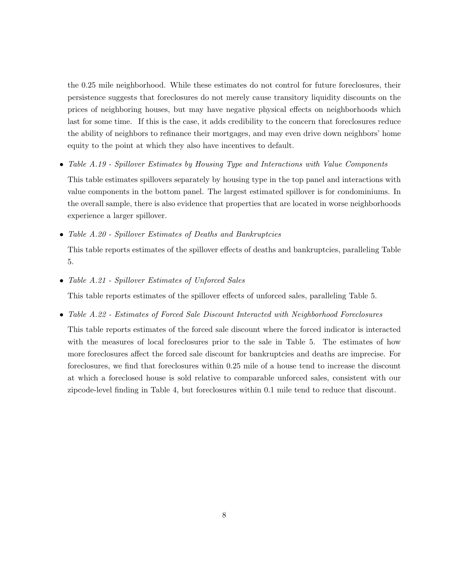the 0.25 mile neighborhood. While these estimates do not control for future foreclosures, their persistence suggests that foreclosures do not merely cause transitory liquidity discounts on the prices of neighboring houses, but may have negative physical effects on neighborhoods which last for some time. If this is the case, it adds credibility to the concern that foreclosures reduce the ability of neighbors to refinance their mortgages, and may even drive down neighbors' home equity to the point at which they also have incentives to default.

• Table A.19 - Spillover Estimates by Housing Type and Interactions with Value Components

This table estimates spillovers separately by housing type in the top panel and interactions with value components in the bottom panel. The largest estimated spillover is for condominiums. In the overall sample, there is also evidence that properties that are located in worse neighborhoods experience a larger spillover.

• Table A.20 - Spillover Estimates of Deaths and Bankruptcies

This table reports estimates of the spillover effects of deaths and bankruptcies, paralleling Table 5.

• Table A.21 - Spillover Estimates of Unforced Sales

This table reports estimates of the spillover effects of unforced sales, paralleling Table 5.

• Table A.22 - Estimates of Forced Sale Discount Interacted with Neighborhood Foreclosures

This table reports estimates of the forced sale discount where the forced indicator is interacted with the measures of local foreclosures prior to the sale in Table 5. The estimates of how more foreclosures affect the forced sale discount for bankruptcies and deaths are imprecise. For foreclosures, we find that foreclosures within 0.25 mile of a house tend to increase the discount at which a foreclosed house is sold relative to comparable unforced sales, consistent with our zipcode-level finding in Table 4, but foreclosures within 0.1 mile tend to reduce that discount.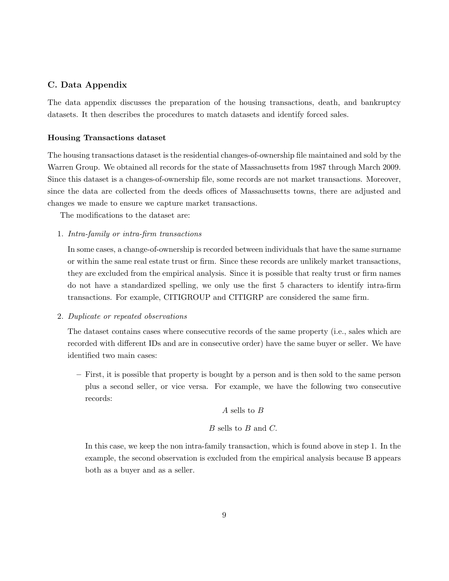# C. Data Appendix

The data appendix discusses the preparation of the housing transactions, death, and bankruptcy datasets. It then describes the procedures to match datasets and identify forced sales.

# Housing Transactions dataset

The housing transactions dataset is the residential changes-of-ownership file maintained and sold by the Warren Group. We obtained all records for the state of Massachusetts from 1987 through March 2009. Since this dataset is a changes-of-ownership file, some records are not market transactions. Moreover, since the data are collected from the deeds offices of Massachusetts towns, there are adjusted and changes we made to ensure we capture market transactions.

The modifications to the dataset are:

1. Intra-family or intra-firm transactions

In some cases, a change-of-ownership is recorded between individuals that have the same surname or within the same real estate trust or firm. Since these records are unlikely market transactions, they are excluded from the empirical analysis. Since it is possible that realty trust or firm names do not have a standardized spelling, we only use the first 5 characters to identify intra-firm transactions. For example, CITIGROUP and CITIGRP are considered the same firm.

### 2. Duplicate or repeated observations

The dataset contains cases where consecutive records of the same property (i.e., sales which are recorded with different IDs and are in consecutive order) have the same buyer or seller. We have identified two main cases:

– First, it is possible that property is bought by a person and is then sold to the same person plus a second seller, or vice versa. For example, we have the following two consecutive records:

# A sells to B

# B sells to B and C.

In this case, we keep the non intra-family transaction, which is found above in step 1. In the example, the second observation is excluded from the empirical analysis because B appears both as a buyer and as a seller.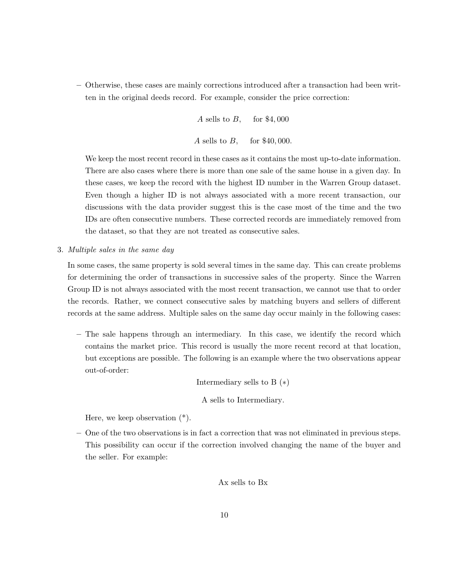– Otherwise, these cases are mainly corrections introduced after a transaction had been written in the original deeds record. For example, consider the price correction:

> A sells to  $B$ , for \$4,000 A sells to  $B$ , for \$40,000.

We keep the most recent record in these cases as it contains the most up-to-date information. There are also cases where there is more than one sale of the same house in a given day. In these cases, we keep the record with the highest ID number in the Warren Group dataset. Even though a higher ID is not always associated with a more recent transaction, our discussions with the data provider suggest this is the case most of the time and the two IDs are often consecutive numbers. These corrected records are immediately removed from the dataset, so that they are not treated as consecutive sales.

3. Multiple sales in the same day

In some cases, the same property is sold several times in the same day. This can create problems for determining the order of transactions in successive sales of the property. Since the Warren Group ID is not always associated with the most recent transaction, we cannot use that to order the records. Rather, we connect consecutive sales by matching buyers and sellers of different records at the same address. Multiple sales on the same day occur mainly in the following cases:

– The sale happens through an intermediary. In this case, we identify the record which contains the market price. This record is usually the more recent record at that location, but exceptions are possible. The following is an example where the two observations appear out-of-order:

Intermediary sells to B  $(*)$ 

A sells to Intermediary.

Here, we keep observation (\*).

– One of the two observations is in fact a correction that was not eliminated in previous steps. This possibility can occur if the correction involved changing the name of the buyer and the seller. For example:

Ax sells to Bx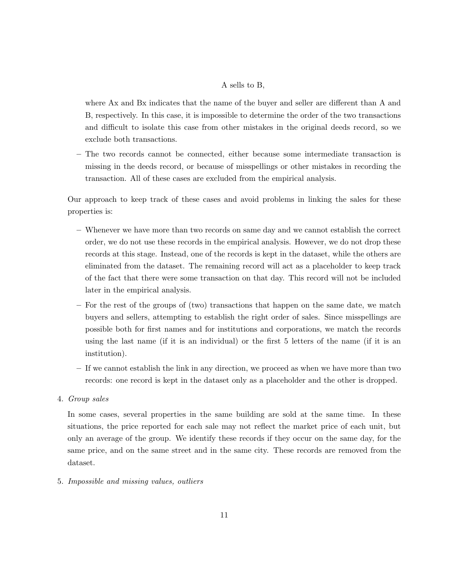# A sells to B,

where Ax and Bx indicates that the name of the buyer and seller are different than A and B, respectively. In this case, it is impossible to determine the order of the two transactions and difficult to isolate this case from other mistakes in the original deeds record, so we exclude both transactions.

– The two records cannot be connected, either because some intermediate transaction is missing in the deeds record, or because of misspellings or other mistakes in recording the transaction. All of these cases are excluded from the empirical analysis.

Our approach to keep track of these cases and avoid problems in linking the sales for these properties is:

- Whenever we have more than two records on same day and we cannot establish the correct order, we do not use these records in the empirical analysis. However, we do not drop these records at this stage. Instead, one of the records is kept in the dataset, while the others are eliminated from the dataset. The remaining record will act as a placeholder to keep track of the fact that there were some transaction on that day. This record will not be included later in the empirical analysis.
- For the rest of the groups of (two) transactions that happen on the same date, we match buyers and sellers, attempting to establish the right order of sales. Since misspellings are possible both for first names and for institutions and corporations, we match the records using the last name (if it is an individual) or the first 5 letters of the name (if it is an institution).
- If we cannot establish the link in any direction, we proceed as when we have more than two records: one record is kept in the dataset only as a placeholder and the other is dropped.

# 4. Group sales

In some cases, several properties in the same building are sold at the same time. In these situations, the price reported for each sale may not reflect the market price of each unit, but only an average of the group. We identify these records if they occur on the same day, for the same price, and on the same street and in the same city. These records are removed from the dataset.

# 5. Impossible and missing values, outliers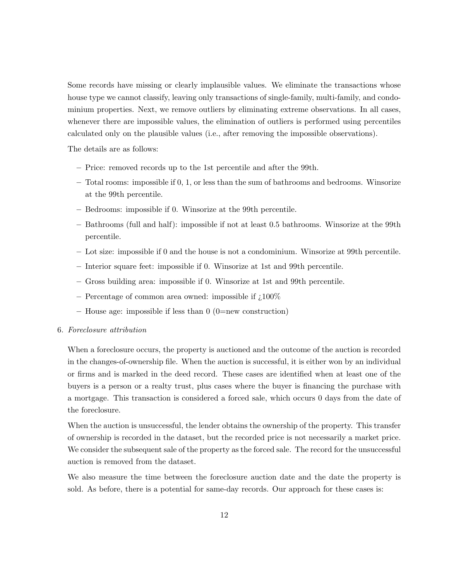Some records have missing or clearly implausible values. We eliminate the transactions whose house type we cannot classify, leaving only transactions of single-family, multi-family, and condominium properties. Next, we remove outliers by eliminating extreme observations. In all cases, whenever there are impossible values, the elimination of outliers is performed using percentiles calculated only on the plausible values (i.e., after removing the impossible observations).

The details are as follows:

- Price: removed records up to the 1st percentile and after the 99th.
- Total rooms: impossible if 0, 1, or less than the sum of bathrooms and bedrooms. Winsorize at the 99th percentile.
- Bedrooms: impossible if 0. Winsorize at the 99th percentile.
- Bathrooms (full and half): impossible if not at least 0.5 bathrooms. Winsorize at the 99th percentile.
- Lot size: impossible if 0 and the house is not a condominium. Winsorize at 99th percentile.
- Interior square feet: impossible if 0. Winsorize at 1st and 99th percentile.
- Gross building area: impossible if 0. Winsorize at 1st and 99th percentile.
- Percentage of common area owned: impossible if  $\mu$ 100%
- $-$  House age: impossible if less than 0 (0=new construction)

# 6. Foreclosure attribution

When a foreclosure occurs, the property is auctioned and the outcome of the auction is recorded in the changes-of-ownership file. When the auction is successful, it is either won by an individual or firms and is marked in the deed record. These cases are identified when at least one of the buyers is a person or a realty trust, plus cases where the buyer is financing the purchase with a mortgage. This transaction is considered a forced sale, which occurs 0 days from the date of the foreclosure.

When the auction is unsuccessful, the lender obtains the ownership of the property. This transfer of ownership is recorded in the dataset, but the recorded price is not necessarily a market price. We consider the subsequent sale of the property as the forced sale. The record for the unsuccessful auction is removed from the dataset.

We also measure the time between the foreclosure auction date and the date the property is sold. As before, there is a potential for same-day records. Our approach for these cases is: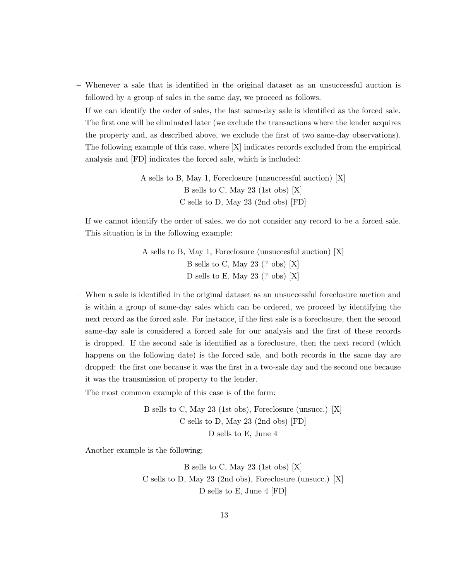– Whenever a sale that is identified in the original dataset as an unsuccessful auction is followed by a group of sales in the same day, we proceed as follows.

If we can identify the order of sales, the last same-day sale is identified as the forced sale. The first one will be eliminated later (we exclude the transactions where the lender acquires the property and, as described above, we exclude the first of two same-day observations). The following example of this case, where [X] indicates records excluded from the empirical analysis and [FD] indicates the forced sale, which is included:

> A sells to B, May 1, Foreclosure (unsuccessful auction) [X] B sells to C, May 23 (1st obs) [X] C sells to D, May 23 (2nd obs) [FD]

If we cannot identify the order of sales, we do not consider any record to be a forced sale. This situation is in the following example:

> A sells to B, May 1, Foreclosure (unsuccesful auction) [X] B sells to C, May 23 (? obs) [X] D sells to E, May 23 (? obs) [X]

– When a sale is identified in the original dataset as an unsuccessful foreclosure auction and is within a group of same-day sales which can be ordered, we proceed by identifying the next record as the forced sale. For instance, if the first sale is a foreclosure, then the second same-day sale is considered a forced sale for our analysis and the first of these records is dropped. If the second sale is identified as a foreclosure, then the next record (which happens on the following date) is the forced sale, and both records in the same day are dropped: the first one because it was the first in a two-sale day and the second one because it was the transmission of property to the lender.

The most common example of this case is of the form:

B sells to C, May 23 (1st obs), Foreclosure (unsucc.) [X] C sells to D, May 23 (2nd obs) [FD] D sells to E, June 4

Another example is the following:

B sells to C, May 23 (1st obs) [X] C sells to D, May 23 (2nd obs), Foreclosure (unsucc.) [X] D sells to E, June 4 [FD]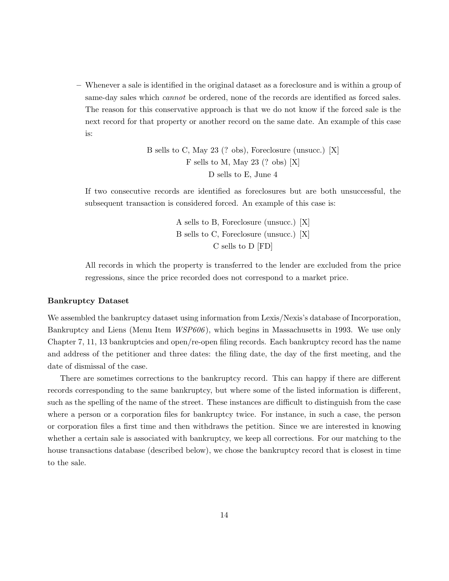– Whenever a sale is identified in the original dataset as a foreclosure and is within a group of same-day sales which *cannot* be ordered, none of the records are identified as forced sales. The reason for this conservative approach is that we do not know if the forced sale is the next record for that property or another record on the same date. An example of this case is:

> B sells to C, May 23 (? obs), Foreclosure (unsucc.) [X] F sells to M, May 23 (? obs) [X] D sells to E, June 4

If two consecutive records are identified as foreclosures but are both unsuccessful, the subsequent transaction is considered forced. An example of this case is:

> A sells to B, Foreclosure (unsucc.) [X] B sells to C, Foreclosure (unsucc.) [X] C sells to D [FD]

All records in which the property is transferred to the lender are excluded from the price regressions, since the price recorded does not correspond to a market price.

## Bankruptcy Dataset

We assembled the bankruptcy dataset using information from Lexis/Nexis's database of Incorporation, Bankruptcy and Liens (Menu Item *WSP606*), which begins in Massachusetts in 1993. We use only Chapter 7, 11, 13 bankruptcies and open/re-open filing records. Each bankruptcy record has the name and address of the petitioner and three dates: the filing date, the day of the first meeting, and the date of dismissal of the case.

There are sometimes corrections to the bankruptcy record. This can happy if there are different records corresponding to the same bankruptcy, but where some of the listed information is different, such as the spelling of the name of the street. These instances are difficult to distinguish from the case where a person or a corporation files for bankruptcy twice. For instance, in such a case, the person or corporation files a first time and then withdraws the petition. Since we are interested in knowing whether a certain sale is associated with bankruptcy, we keep all corrections. For our matching to the house transactions database (described below), we chose the bankruptcy record that is closest in time to the sale.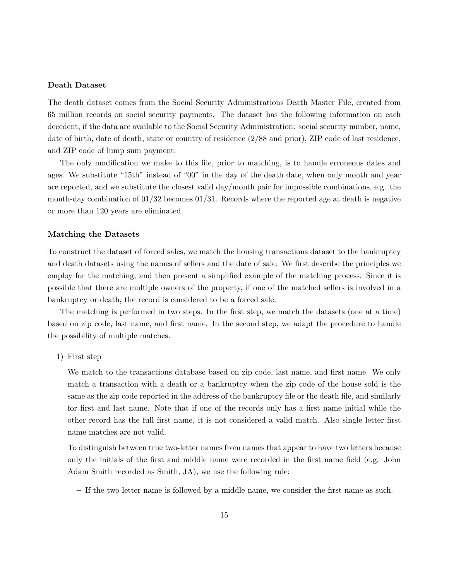# Death Dataset

The death dataset comes from the Social Security Administrations Death Master File, created from 65 million records on social security payments. The dataset has the following information on each decedent, if the data are available to the Social Security Administration: social security number, name, date of birth, date of death, state or country of residence (2/88 and prior), ZIP code of last residence, and ZIP code of lump sum payment.

The only modification we make to this file, prior to matching, is to handle erroneous dates and ages. We substitute "15th" instead of "00" in the day of the death date, when only month and year are reported, and we substitute the closest valid day/month pair for impossible combinations, e.g. the month-day combination of  $01/32$  becomes  $01/31$ . Records where the reported age at death is negative or more than 120 years are eliminated.

## Matching the Datasets

To construct the dataset of forced sales, we match the housing transactions dataset to the bankruptcy and death datasets using the names of sellers and the date of sale. We first describe the principles we employ for the matching, and then present a simplified example of the matching process. Since it is possible that there are multiple owners of the property, if one of the matched sellers is involved in a bankruptcy or death, the record is considered to be a forced sale.

The matching is performed in two steps. In the first step, we match the datasets (one at a time) based on zip code, last name, and first name. In the second step, we adapt the procedure to handle the possibility of multiple matches.

1) First step

We match to the transactions database based on zip code, last name, and first name. We only match a transaction with a death or a bankruptcy when the zip code of the house sold is the same as the zip code reported in the address of the bankruptcy file or the death file, and similarly for first and last name. Note that if one of the records only has a first name initial while the other record has the full first name, it is not considered a valid match. Also single letter first name matches are not valid.

To distinguish between true two-letter names from names that appear to have two letters because only the initials of the first and middle name were recorded in the first name field (e.g. John Adam Smith recorded as Smith, JA), we use the following rule:

– If the two-letter name is followed by a middle name, we consider the first name as such.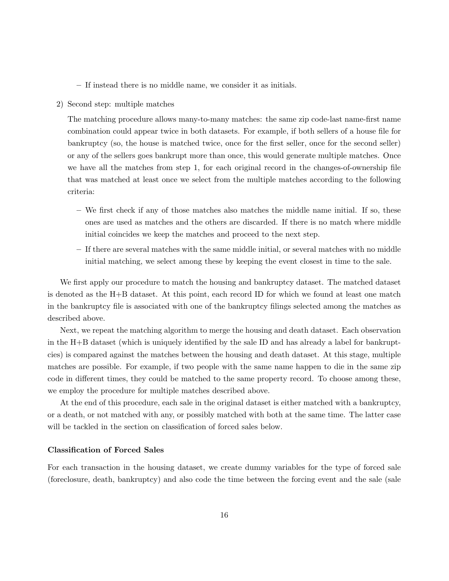– If instead there is no middle name, we consider it as initials.

2) Second step: multiple matches

The matching procedure allows many-to-many matches: the same zip code-last name-first name combination could appear twice in both datasets. For example, if both sellers of a house file for bankruptcy (so, the house is matched twice, once for the first seller, once for the second seller) or any of the sellers goes bankrupt more than once, this would generate multiple matches. Once we have all the matches from step 1, for each original record in the changes-of-ownership file that was matched at least once we select from the multiple matches according to the following criteria:

- We first check if any of those matches also matches the middle name initial. If so, these ones are used as matches and the others are discarded. If there is no match where middle initial coincides we keep the matches and proceed to the next step.
- If there are several matches with the same middle initial, or several matches with no middle initial matching, we select among these by keeping the event closest in time to the sale.

We first apply our procedure to match the housing and bankruptcy dataset. The matched dataset is denoted as the H+B dataset. At this point, each record ID for which we found at least one match in the bankruptcy file is associated with one of the bankruptcy filings selected among the matches as described above.

Next, we repeat the matching algorithm to merge the housing and death dataset. Each observation in the H+B dataset (which is uniquely identified by the sale ID and has already a label for bankruptcies) is compared against the matches between the housing and death dataset. At this stage, multiple matches are possible. For example, if two people with the same name happen to die in the same zip code in different times, they could be matched to the same property record. To choose among these, we employ the procedure for multiple matches described above.

At the end of this procedure, each sale in the original dataset is either matched with a bankruptcy, or a death, or not matched with any, or possibly matched with both at the same time. The latter case will be tackled in the section on classification of forced sales below.

## Classification of Forced Sales

For each transaction in the housing dataset, we create dummy variables for the type of forced sale (foreclosure, death, bankruptcy) and also code the time between the forcing event and the sale (sale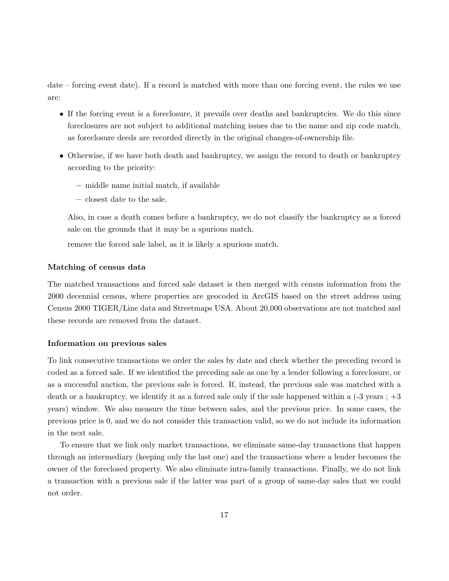date – forcing event date). If a record is matched with more than one forcing event, the rules we use are:

- If the forcing event is a foreclosure, it prevails over deaths and bankruptcies. We do this since foreclosures are not subject to additional matching issues due to the name and zip code match, as foreclosure deeds are recorded directly in the original changes-of-ownership file.
- Otherwise, if we have both death and bankruptcy, we assign the record to death or bankruptcy according to the priority:
	- middle name initial match, if available
	- closest date to the sale.

Also, in case a death comes before a bankruptcy, we do not classify the bankruptcy as a forced sale on the grounds that it may be a spurious match.

remove the forced sale label, as it is likely a spurious match.

## Matching of census data

The matched transactions and forced sale dataset is then merged with census information from the 2000 decennial census, where properties are geocoded in ArcGIS based on the street address using Census 2000 TIGER/Line data and Streetmaps USA. About 20,000 observations are not matched and these records are removed from the dataset.

## Information on previous sales

To link consecutive transactions we order the sales by date and check whether the preceding record is coded as a forced sale. If we identified the preceding sale as one by a lender following a foreclosure, or as a successful auction, the previous sale is forced. If, instead, the previous sale was matched with a death or a bankruptcy, we identify it as a forced sale only if the sale happened within a  $(-3 \text{ years } ; +3 \text{)}$ years) window. We also measure the time between sales, and the previous price. In some cases, the previous price is 0, and we do not consider this transaction valid, so we do not include its information in the next sale.

To ensure that we link only market transactions, we eliminate same-day transactions that happen through an intermediary (keeping only the last one) and the transactions where a lender becomes the owner of the foreclosed property. We also eliminate intra-family transactions. Finally, we do not link a transaction with a previous sale if the latter was part of a group of same-day sales that we could not order.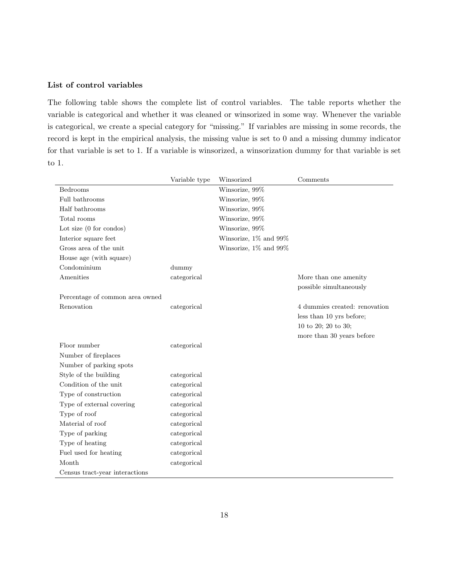# List of control variables

The following table shows the complete list of control variables. The table reports whether the variable is categorical and whether it was cleaned or winsorized in some way. Whenever the variable is categorical, we create a special category for "missing." If variables are missing in some records, the record is kept in the empirical analysis, the missing value is set to 0 and a missing dummy indicator for that variable is set to 1. If a variable is winsorized, a winsorization dummy for that variable is set to 1.

|                                 | Variable type | Winsorized            | Comments                      |
|---------------------------------|---------------|-----------------------|-------------------------------|
| Bedrooms                        |               | Winsorize, 99%        |                               |
| Full bathrooms                  |               | Winsorize, 99%        |                               |
| Half bathrooms                  |               | Winsorize, 99%        |                               |
| Total rooms                     |               | Winsorize, 99%        |                               |
| Lot size $(0 for condos)$       |               | Winsorize, 99%        |                               |
| Interior square feet            |               | Winsorize, 1% and 99% |                               |
| Gross area of the unit          |               | Winsorize, 1% and 99% |                               |
| House age (with square)         |               |                       |                               |
| Condominium                     | dummy         |                       |                               |
| Amenities                       | categorical   |                       | More than one amenity         |
|                                 |               |                       | possible simultaneously       |
| Percentage of common area owned |               |                       |                               |
| Renovation                      | categorical   |                       | 4 dummies created: renovation |
|                                 |               |                       | less than 10 yrs before;      |
|                                 |               |                       | 10 to 20; 20 to 30;           |
|                                 |               |                       | more than 30 years before     |
| Floor number                    | categorical   |                       |                               |
| Number of fireplaces            |               |                       |                               |
| Number of parking spots         |               |                       |                               |
| Style of the building           | categorical   |                       |                               |
| Condition of the unit           | categorical   |                       |                               |
| Type of construction            | categorical   |                       |                               |
| Type of external covering       | categorical   |                       |                               |
| Type of roof                    | categorical   |                       |                               |
| Material of roof                | categorical   |                       |                               |
| Type of parking                 | categorical   |                       |                               |
| Type of heating                 | categorical   |                       |                               |
| Fuel used for heating           | categorical   |                       |                               |
| Month                           | categorical   |                       |                               |
| Census tract-year interactions  |               |                       |                               |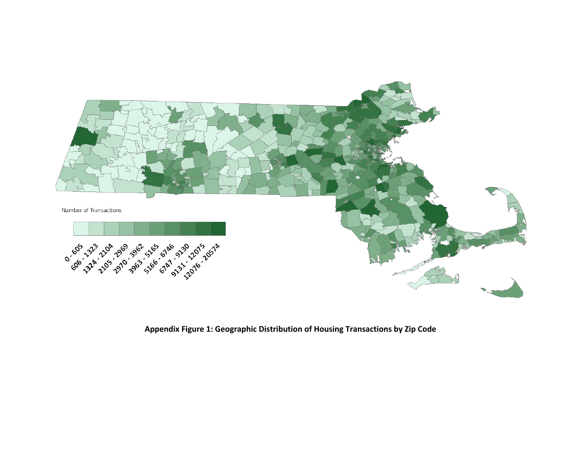

**Appendix Figure 1: Geographic Distribution of Housing Transactions by Zip Code**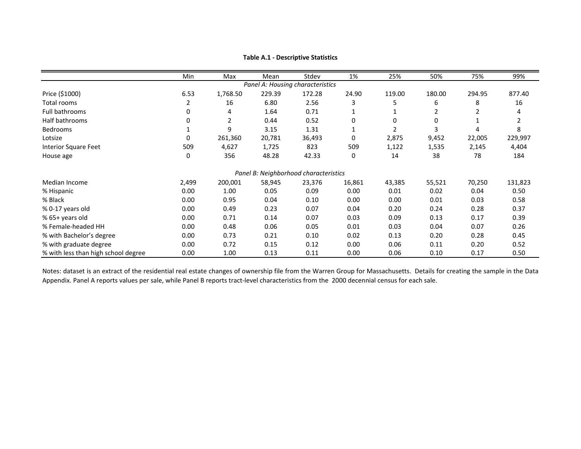|                                     | Min   | Max      | Mean   | Stdev                                 | 1%     | 25%    | 50%    | 75%    | 99%     |
|-------------------------------------|-------|----------|--------|---------------------------------------|--------|--------|--------|--------|---------|
|                                     |       |          |        | Panel A: Housing characteristics      |        |        |        |        |         |
| Price (\$1000)                      | 6.53  | 1,768.50 | 229.39 | 172.28                                | 24.90  | 119.00 | 180.00 | 294.95 | 877.40  |
| Total rooms                         | 2     | 16       | 6.80   | 2.56                                  | 3      | 5      | 6      | 8      | 16      |
| Full bathrooms                      | 0     | 4        | 1.64   | 0.71                                  |        |        |        |        | 4       |
| Half bathrooms                      | 0     | 2        | 0.44   | 0.52                                  | 0      | 0      | 0      |        | 2       |
| <b>Bedrooms</b>                     |       | 9        | 3.15   | 1.31                                  |        | 2      | 3      | 4      | 8       |
| Lotsize                             | 0     | 261,360  | 20,781 | 36,493                                | 0      | 2,875  | 9,452  | 22,005 | 229,997 |
| <b>Interior Square Feet</b>         | 509   | 4,627    | 1,725  | 823                                   | 509    | 1,122  | 1,535  | 2,145  | 4,404   |
| House age                           | 0     | 356      | 48.28  | 42.33                                 | 0      | 14     | 38     | 78     | 184     |
|                                     |       |          |        | Panel B: Neighborhood characteristics |        |        |        |        |         |
| Median Income                       | 2,499 | 200,001  | 58,945 | 23,376                                | 16,861 | 43,385 | 55,521 | 70,250 | 131,823 |
| % Hispanic                          | 0.00  | 1.00     | 0.05   | 0.09                                  | 0.00   | 0.01   | 0.02   | 0.04   | 0.50    |
| % Black                             | 0.00  | 0.95     | 0.04   | 0.10                                  | 0.00   | 0.00   | 0.01   | 0.03   | 0.58    |
| % 0-17 years old                    | 0.00  | 0.49     | 0.23   | 0.07                                  | 0.04   | 0.20   | 0.24   | 0.28   | 0.37    |
| % 65+ years old                     | 0.00  | 0.71     | 0.14   | 0.07                                  | 0.03   | 0.09   | 0.13   | 0.17   | 0.39    |
| % Female-headed HH                  | 0.00  | 0.48     | 0.06   | 0.05                                  | 0.01   | 0.03   | 0.04   | 0.07   | 0.26    |
| % with Bachelor's degree            | 0.00  | 0.73     | 0.21   | 0.10                                  | 0.02   | 0.13   | 0.20   | 0.28   | 0.45    |
| % with graduate degree              | 0.00  | 0.72     | 0.15   | 0.12                                  | 0.00   | 0.06   | 0.11   | 0.20   | 0.52    |
| % with less than high school degree | 0.00  | 1.00     | 0.13   | 0.11                                  | 0.00   | 0.06   | 0.10   | 0.17   | 0.50    |

### **Table A.1 ‐ Descriptive Statistics**

Notes: dataset is an extract of the residential real estate changes of ownership file from the Warren Group for Massachusetts. Details for creating the sample in the Data Appendix. Panel A reports values per sale, while Panel B reports tract‐level characteristics from the 2000 decennial census for each sale.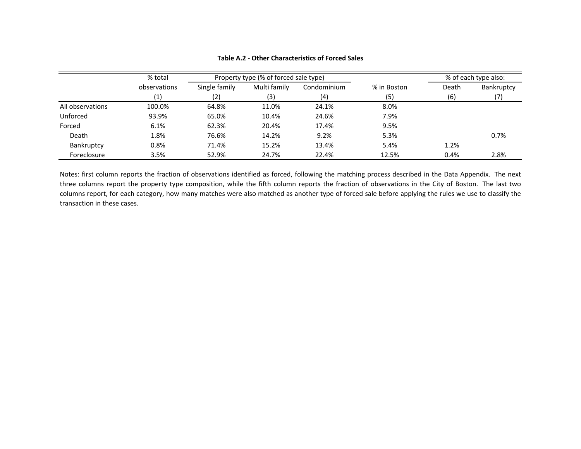|                  | % total      |               | Property type (% of forced sale type) |             |             |       | % of each type also: |
|------------------|--------------|---------------|---------------------------------------|-------------|-------------|-------|----------------------|
|                  | observations | Single family | Multi family                          | Condominium | % in Boston | Death | Bankruptcy           |
|                  | (1)          | (2)           | (3)                                   | (4)         | (5)         | (6)   |                      |
| All observations | 100.0%       | 64.8%         | 11.0%                                 | 24.1%       | 8.0%        |       |                      |
| Unforced         | 93.9%        | 65.0%         | 10.4%                                 | 24.6%       | 7.9%        |       |                      |
| Forced           | 6.1%         | 62.3%         | 20.4%                                 | 17.4%       | 9.5%        |       |                      |
| Death            | 1.8%         | 76.6%         | 14.2%                                 | 9.2%        | 5.3%        |       | 0.7%                 |
| Bankruptcy       | 0.8%         | 71.4%         | 15.2%                                 | 13.4%       | 5.4%        | 1.2%  |                      |
| Foreclosure      | 3.5%         | 52.9%         | 24.7%                                 | 22.4%       | 12.5%       | 0.4%  | 2.8%                 |

## **Table A.2 ‐ Other Characteristics of Forced Sales**

Notes: first column reports the fraction of observations identified as forced, following the matching process described in the Data Appendix. The next three columns report the property type composition, while the fifth column reports the fraction of observations in the City of Boston. The last two columns report, for each category, how many matches were also matched as another type of forced sale before applying the rules we use to classify the transaction in these cases.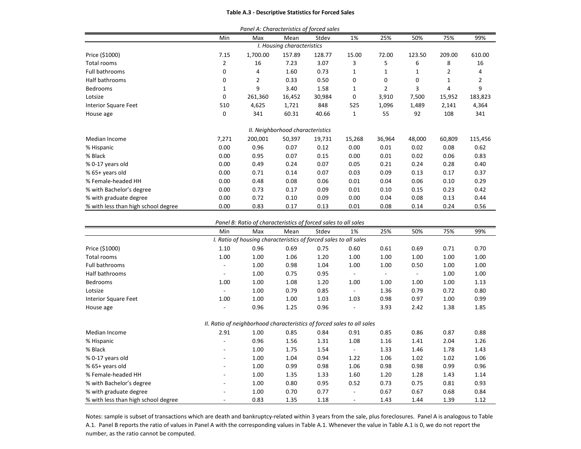#### **Table A.3 ‐ Descriptive Statistics for Forced Sales**

|                                     |       | Panel A: Characteristics of forced sales |                                  |        |        |                |        |        |         |
|-------------------------------------|-------|------------------------------------------|----------------------------------|--------|--------|----------------|--------|--------|---------|
|                                     | Min   | Max                                      | Mean                             | Stdev  | 1%     | 25%            | 50%    | 75%    | 99%     |
|                                     |       |                                          | I. Housing characteristics       |        |        |                |        |        |         |
| Price (\$1000)                      | 7.15  | 1,700.00                                 | 157.89                           | 128.77 | 15.00  | 72.00          | 123.50 | 209.00 | 610.00  |
| Total rooms                         | 2     | 16                                       | 7.23                             | 3.07   | 3      | 5              | 6      | 8      | 16      |
| Full bathrooms                      | 0     | 4                                        | 1.60                             | 0.73   | 1      | 1              | 1      | 2      | 4       |
| Half bathrooms                      | 0     | $\overline{2}$                           | 0.33                             | 0.50   | 0      | 0              | 0      | 1      | 2       |
| <b>Bedrooms</b>                     | 1     | 9                                        | 3.40                             | 1.58   | 1      | $\overline{2}$ | 3      | 4      | 9       |
| Lotsize                             | 0     | 261,360                                  | 16,452                           | 30,984 | 0      | 3,910          | 7,500  | 15,952 | 183,823 |
| <b>Interior Square Feet</b>         | 510   | 4,625                                    | 1,721                            | 848    | 525    | 1,096          | 1,489  | 2,141  | 4,364   |
| House age                           | 0     | 341                                      | 60.31                            | 40.66  | 1      | 55             | 92     | 108    | 341     |
|                                     |       |                                          | II. Neighborhood characteristics |        |        |                |        |        |         |
| Median Income                       | 7,271 | 200,001                                  | 50,397                           | 19,731 | 15,268 | 36,964         | 48,000 | 60,809 | 115,456 |
| % Hispanic                          | 0.00  | 0.96                                     | 0.07                             | 0.12   | 0.00   | 0.01           | 0.02   | 0.08   | 0.62    |
| % Black                             | 0.00  | 0.95                                     | 0.07                             | 0.15   | 0.00   | 0.01           | 0.02   | 0.06   | 0.83    |
| % 0-17 years old                    | 0.00  | 0.49                                     | 0.24                             | 0.07   | 0.05   | 0.21           | 0.24   | 0.28   | 0.40    |
| % 65+ years old                     | 0.00  | 0.71                                     | 0.14                             | 0.07   | 0.03   | 0.09           | 0.13   | 0.17   | 0.37    |
| % Female-headed HH                  | 0.00  | 0.48                                     | 0.08                             | 0.06   | 0.01   | 0.04           | 0.06   | 0.10   | 0.29    |
| % with Bachelor's degree            | 0.00  | 0.73                                     | 0.17                             | 0.09   | 0.01   | 0.10           | 0.15   | 0.23   | 0.42    |
| % with graduate degree              | 0.00  | 0.72                                     | 0.10                             | 0.09   | 0.00   | 0.04           | 0.08   | 0.13   | 0.44    |
| % with less than high school degree | 0.00  | 0.83                                     | 0.17                             | 0.13   | 0.01   | 0.08           | 0.14   | 0.24   | 0.56    |

#### *Panel B: Ratio of characteristics of forced sales to all sales*

|                                     | Min                                                                    | Max  | Mean | Stdev | 1%     | 25%                      | 50%                      | 75%  | 99%  |
|-------------------------------------|------------------------------------------------------------------------|------|------|-------|--------|--------------------------|--------------------------|------|------|
|                                     | I. Ratio of housing characteristics of forced sales to all sales       |      |      |       |        |                          |                          |      |      |
| Price (\$1000)                      | 1.10                                                                   | 0.96 | 0.69 | 0.75  | 0.60   | 0.61                     | 0.69                     | 0.71 | 0.70 |
| Total rooms                         | 1.00                                                                   | 1.00 | 1.06 | 1.20  | 1.00   | 1.00                     | 1.00                     | 1.00 | 1.00 |
| Full bathrooms                      |                                                                        | 1.00 | 0.98 | 1.04  | 1.00   | 1.00                     | 0.50                     | 1.00 | 1.00 |
| Half bathrooms                      |                                                                        | 1.00 | 0.75 | 0.95  |        | $\overline{\phantom{a}}$ | $\overline{\phantom{a}}$ | 1.00 | 1.00 |
| <b>Bedrooms</b>                     | 1.00                                                                   | 1.00 | 1.08 | 1.20  | 1.00   | 1.00                     | 1.00                     | 1.00 | 1.13 |
| Lotsize                             |                                                                        | 1.00 | 0.79 | 0.85  | $\sim$ | 1.36                     | 0.79                     | 0.72 | 0.80 |
| <b>Interior Square Feet</b>         | 1.00                                                                   | 1.00 | 1.00 | 1.03  | 1.03   | 0.98                     | 0.97                     | 1.00 | 0.99 |
| House age                           |                                                                        | 0.96 | 1.25 | 0.96  | ٠      | 3.93                     | 2.42                     | 1.38 | 1.85 |
|                                     | II. Ratio of neighborhood characteristics of forced sales to all sales |      |      |       |        |                          |                          |      |      |
| Median Income                       | 2.91                                                                   | 1.00 | 0.85 | 0.84  | 0.91   | 0.85                     | 0.86                     | 0.87 | 0.88 |
| % Hispanic                          |                                                                        | 0.96 | 1.56 | 1.31  | 1.08   | 1.16                     | 1.41                     | 2.04 | 1.26 |
| % Black                             | $\overline{\phantom{a}}$                                               | 1.00 | 1.75 | 1.54  | $\sim$ | 1.33                     | 1.46                     | 1.78 | 1.43 |
| % 0-17 years old                    | $\overline{\phantom{a}}$                                               | 1.00 | 1.04 | 0.94  | 1.22   | 1.06                     | 1.02                     | 1.02 | 1.06 |
| % 65+ years old                     | $\overline{\phantom{a}}$                                               | 1.00 | 0.99 | 0.98  | 1.06   | 0.98                     | 0.98                     | 0.99 | 0.96 |
| % Female-headed HH                  |                                                                        | 1.00 | 1.35 | 1.33  | 1.60   | 1.20                     | 1.28                     | 1.43 | 1.14 |
| % with Bachelor's degree            |                                                                        | 1.00 | 0.80 | 0.95  | 0.52   | 0.73                     | 0.75                     | 0.81 | 0.93 |
| % with graduate degree              |                                                                        | 1.00 | 0.70 | 0.77  |        | 0.67                     | 0.67                     | 0.68 | 0.84 |
| % with less than high school degree |                                                                        | 0.83 | 1.35 | 1.18  | ۰      | 1.43                     | 1.44                     | 1.39 | 1.12 |

Notes: sample is subset of transactions which are death and bankruptcy‐related within 3 years from the sale, plus foreclosures. Panel A is analogous to Table A.1. Panel B reports the ratio of values in Panel A with the corresponding values in Table A.1. Whenever the value in Table A.1 is 0, we do not report the number, as the ratio cannot be computed.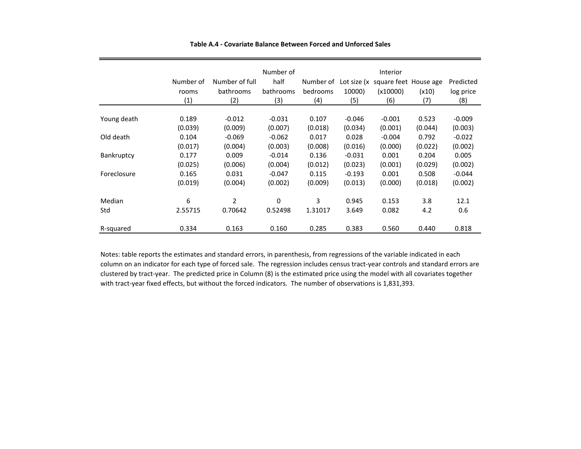|                   | Number of<br>rooms<br>(1) | Number of full<br>bathrooms<br>(2) | Number of<br>half<br>bathrooms<br>(3) | Number of<br>bedrooms<br>(4) | Lot size (x<br>10000)<br>(5) | Interior<br>square feet House age<br>(x10000)<br>(6) | (x10)<br>(7) | Predicted<br>log price<br>(8) |
|-------------------|---------------------------|------------------------------------|---------------------------------------|------------------------------|------------------------------|------------------------------------------------------|--------------|-------------------------------|
| Young death       | 0.189                     | $-0.012$                           | $-0.031$                              | 0.107                        | $-0.046$                     | $-0.001$                                             | 0.523        | $-0.009$                      |
| Old death         | (0.039)                   | (0.009)                            | (0.007)                               | (0.018)                      | (0.034)                      | (0.001)                                              | (0.044)      | (0.003)                       |
|                   | 0.104                     | $-0.069$                           | $-0.062$                              | 0.017                        | 0.028                        | $-0.004$                                             | 0.792        | $-0.022$                      |
|                   | (0.017)                   | (0.004)                            | (0.003)                               | (0.008)                      | (0.016)                      | (0.000)                                              | (0.022)      | (0.002)                       |
| <b>Bankruptcy</b> | 0.177                     | 0.009                              | $-0.014$                              | 0.136                        | $-0.031$                     | 0.001                                                | 0.204        | 0.005                         |
|                   | (0.025)                   | (0.006)                            | (0.004)                               | (0.012)                      | (0.023)                      | (0.001)                                              | (0.029)      | (0.002)                       |
| Foreclosure       | 0.165                     | 0.031                              | $-0.047$                              | 0.115                        | $-0.193$                     | 0.001                                                | 0.508        | $-0.044$                      |
|                   | (0.019)                   | (0.004)                            | (0.002)                               | (0.009)                      | (0.013)                      | (0.000)                                              | (0.018)      | (0.002)                       |
| Median            | 6                         | $\overline{2}$                     | 0                                     | 3                            | 0.945                        | 0.153                                                | 3.8          | 12.1                          |
| Std               | 2.55715                   | 0.70642                            | 0.52498                               | 1.31017                      | 3.649                        | 0.082                                                | 4.2          | 0.6                           |
| R-squared         | 0.334                     | 0.163                              | 0.160                                 | 0.285                        | 0.383                        | 0.560                                                | 0.440        | 0.818                         |

### **Table A.4 ‐ Covariate Balance Between Forced and Unforced Sales**

Notes: table reports the estimates and standard errors, in parenthesis, from regressions of the variable indicated in each column on an indicator for each type of forced sale. The regression includes census tract‐year controls and standard errors are clustered by tract‐year. The predicted price in Column (8) is the estimated price using the model with all covariates together with tract‐year fixed effects, but without the forced indicators. The number of observations is 1,831,393.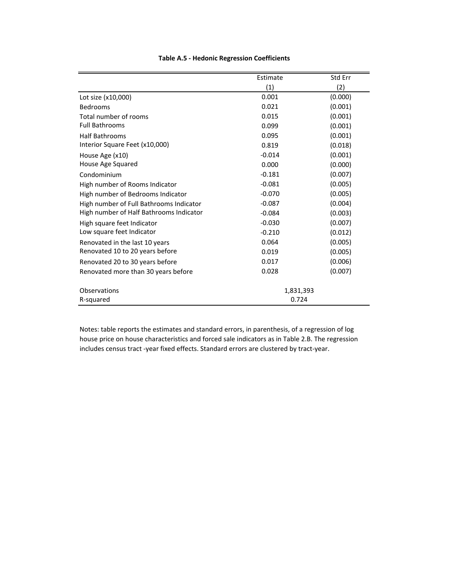|                                         | Estimate  | Std Err |
|-----------------------------------------|-----------|---------|
|                                         | (1)       | (2)     |
| Lot size (x10,000)                      | 0.001     | (0.000) |
| Bedrooms                                | 0.021     | (0.001) |
| Total number of rooms                   | 0.015     | (0.001) |
| <b>Full Bathrooms</b>                   | 0.099     | (0.001) |
| <b>Half Bathrooms</b>                   | 0.095     | (0.001) |
| Interior Square Feet (x10,000)          | 0.819     | (0.018) |
| House Age (x10)                         | $-0.014$  | (0.001) |
| House Age Squared                       | 0.000     | (0.000) |
| Condominium                             | $-0.181$  | (0.007) |
| High number of Rooms Indicator          | $-0.081$  | (0.005) |
| High number of Bedrooms Indicator       | $-0.070$  | (0.005) |
| High number of Full Bathrooms Indicator | $-0.087$  | (0.004) |
| High number of Half Bathrooms Indicator | $-0.084$  | (0.003) |
| High square feet Indicator              | $-0.030$  | (0.007) |
| Low square feet Indicator               | $-0.210$  | (0.012) |
| Renovated in the last 10 years          | 0.064     | (0.005) |
| Renovated 10 to 20 years before         | 0.019     | (0.005) |
| Renovated 20 to 30 years before         | 0.017     | (0.006) |
| Renovated more than 30 years before     | 0.028     | (0.007) |
| Observations                            | 1,831,393 |         |
| R-squared                               | 0.724     |         |

# **Table A.5 ‐ Hedonic Regression Coefficients**

Notes: table reports the estimates and standard errors, in parenthesis, of a regression of log house price on house characteristics and forced sale indicators as in Table 2.B. The regression includes census tract ‐year fixed effects. Standard errors are clustered by tract‐year.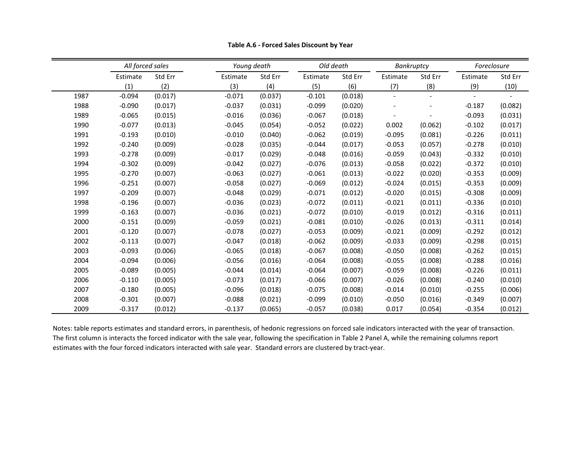|      | All forced sales |         |          | Young death | Old death |         | Bankruptcy |                | Foreclosure |         |
|------|------------------|---------|----------|-------------|-----------|---------|------------|----------------|-------------|---------|
|      | Estimate         | Std Err | Estimate | Std Err     | Estimate  | Std Err | Estimate   | Std Err        | Estimate    | Std Err |
|      | (1)              | (2)     | (3)      | (4)         | (5)       | (6)     | (7)        | (8)            | (9)         | (10)    |
| 1987 | $-0.094$         | (0.017) | $-0.071$ | (0.037)     | $-0.101$  | (0.018) |            | $\overline{a}$ |             |         |
| 1988 | $-0.090$         | (0.017) | $-0.037$ | (0.031)     | $-0.099$  | (0.020) |            |                | $-0.187$    | (0.082) |
| 1989 | $-0.065$         | (0.015) | $-0.016$ | (0.036)     | $-0.067$  | (0.018) |            |                | $-0.093$    | (0.031) |
| 1990 | $-0.077$         | (0.013) | $-0.045$ | (0.054)     | $-0.052$  | (0.022) | 0.002      | (0.062)        | $-0.102$    | (0.017) |
| 1991 | $-0.193$         | (0.010) | $-0.010$ | (0.040)     | $-0.062$  | (0.019) | $-0.095$   | (0.081)        | $-0.226$    | (0.011) |
| 1992 | $-0.240$         | (0.009) | $-0.028$ | (0.035)     | $-0.044$  | (0.017) | $-0.053$   | (0.057)        | $-0.278$    | (0.010) |
| 1993 | $-0.278$         | (0.009) | $-0.017$ | (0.029)     | $-0.048$  | (0.016) | $-0.059$   | (0.043)        | $-0.332$    | (0.010) |
| 1994 | $-0.302$         | (0.009) | $-0.042$ | (0.027)     | $-0.076$  | (0.013) | $-0.058$   | (0.022)        | $-0.372$    | (0.010) |
| 1995 | $-0.270$         | (0.007) | $-0.063$ | (0.027)     | $-0.061$  | (0.013) | $-0.022$   | (0.020)        | $-0.353$    | (0.009) |
| 1996 | $-0.251$         | (0.007) | $-0.058$ | (0.027)     | $-0.069$  | (0.012) | $-0.024$   | (0.015)        | $-0.353$    | (0.009) |
| 1997 | $-0.209$         | (0.007) | $-0.048$ | (0.029)     | $-0.071$  | (0.012) | $-0.020$   | (0.015)        | $-0.308$    | (0.009) |
| 1998 | $-0.196$         | (0.007) | $-0.036$ | (0.023)     | $-0.072$  | (0.011) | $-0.021$   | (0.011)        | $-0.336$    | (0.010) |
| 1999 | $-0.163$         | (0.007) | $-0.036$ | (0.021)     | $-0.072$  | (0.010) | $-0.019$   | (0.012)        | $-0.316$    | (0.011) |
| 2000 | $-0.151$         | (0.009) | $-0.059$ | (0.021)     | $-0.081$  | (0.010) | $-0.026$   | (0.013)        | $-0.311$    | (0.014) |
| 2001 | $-0.120$         | (0.007) | $-0.078$ | (0.027)     | $-0.053$  | (0.009) | $-0.021$   | (0.009)        | $-0.292$    | (0.012) |
| 2002 | $-0.113$         | (0.007) | $-0.047$ | (0.018)     | $-0.062$  | (0.009) | $-0.033$   | (0.009)        | $-0.298$    | (0.015) |
| 2003 | $-0.093$         | (0.006) | $-0.065$ | (0.018)     | $-0.067$  | (0.008) | $-0.050$   | (0.008)        | $-0.262$    | (0.015) |
| 2004 | $-0.094$         | (0.006) | $-0.056$ | (0.016)     | $-0.064$  | (0.008) | $-0.055$   | (0.008)        | $-0.288$    | (0.016) |
| 2005 | $-0.089$         | (0.005) | $-0.044$ | (0.014)     | $-0.064$  | (0.007) | $-0.059$   | (0.008)        | $-0.226$    | (0.011) |
| 2006 | $-0.110$         | (0.005) | $-0.073$ | (0.017)     | $-0.066$  | (0.007) | $-0.026$   | (0.008)        | $-0.240$    | (0.010) |
| 2007 | $-0.180$         | (0.005) | $-0.096$ | (0.018)     | $-0.075$  | (0.008) | $-0.014$   | (0.010)        | $-0.255$    | (0.006) |
| 2008 | $-0.301$         | (0.007) | $-0.088$ | (0.021)     | $-0.099$  | (0.010) | $-0.050$   | (0.016)        | $-0.349$    | (0.007) |
| 2009 | $-0.317$         | (0.012) | $-0.137$ | (0.065)     | $-0.057$  | (0.038) | 0.017      | (0.054)        | $-0.354$    | (0.012) |

**Table A.6 ‐ Forced Sales Discount by Year**

Notes: table reports estimates and standard errors, in parenthesis, of hedonic regressions on forced sale indicators interacted with the year of transaction. The first column is interacts the forced indicator with the sale year, following the specification in Table 2 Panel A, while the remaining columns report estimates with the four forced indicators interacted with sale year. Standard errors are clustered by tract‐year.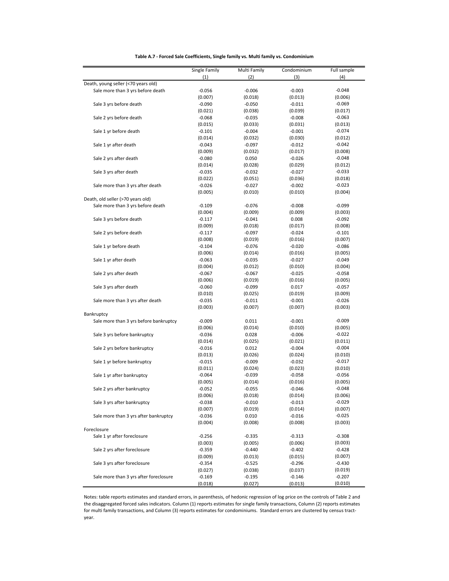| (1)<br>(2)<br>(3)<br>(4)<br>Death, young seller (<70 years old)<br>Sale more than 3 yrs before death<br>$-0.056$<br>$-0.006$<br>$-0.003$<br>$-0.048$<br>(0.013)<br>(0.006)<br>(0.007)<br>(0.018)<br>$-0.069$<br>Sale 3 yrs before death<br>$-0.090$<br>$-0.050$<br>$-0.011$<br>(0.021)<br>(0.039)<br>(0.038)<br>(0.017)<br>$-0.063$<br>Sale 2 yrs before death<br>$-0.068$<br>$-0.035$<br>$-0.008$<br>(0.015)<br>(0.033)<br>(0.031)<br>(0.013)<br>Sale 1 yr before death<br>$-0.101$<br>$-0.004$<br>$-0.001$<br>$-0.074$<br>(0.014)<br>(0.012)<br>(0.032)<br>(0.030)<br>Sale 1 yr after death<br>$-0.043$<br>$-0.097$<br>$-0.012$<br>$-0.042$<br>(0.009)<br>(0.032)<br>(0.017)<br>(0.008)<br>$-0.048$<br>Sale 2 yrs after death<br>$-0.080$<br>0.050<br>$-0.026$<br>(0.014)<br>(0.028)<br>(0.029)<br>(0.012)<br>$-0.033$<br>Sale 3 yrs after death<br>$-0.035$<br>$-0.032$<br>$-0.027$<br>(0.022)<br>(0.051)<br>(0.036)<br>(0.018)<br>Sale more than 3 yrs after death<br>$-0.026$<br>$-0.027$<br>$-0.002$<br>$-0.023$<br>(0.010)<br>(0.004)<br>(0.005)<br>(0.010)<br>Death, old seller (>70 years old)<br>Sale more than 3 yrs before death<br>$-0.109$<br>$-0.076$<br>$-0.008$<br>$-0.099$<br>(0.009)<br>(0.009)<br>(0.003)<br>(0.004)<br>$-0.092$<br>Sale 3 yrs before death<br>$-0.117$<br>$-0.041$<br>0.008<br>(0.008)<br>(0.009)<br>(0.018)<br>(0.017)<br>$-0.101$<br>Sale 2 yrs before death<br>$-0.117$<br>$-0.097$<br>$-0.024$<br>(0.007)<br>(0.008)<br>(0.019)<br>(0.016)<br>$-0.086$<br>Sale 1 yr before death<br>$-0.104$<br>$-0.076$<br>$-0.020$<br>(0.006)<br>(0.014)<br>(0.016)<br>(0.005)<br>Sale 1 yr after death<br>$-0.063$<br>$-0.035$<br>$-0.027$<br>$-0.049$<br>(0.004)<br>(0.012)<br>(0.010)<br>(0.004)<br>$-0.058$<br>Sale 2 yrs after death<br>$-0.067$<br>$-0.067$<br>$-0.025$<br>(0.006)<br>(0.016)<br>(0.019)<br>(0.005)<br>$-0.057$<br>Sale 3 yrs after death<br>$-0.060$<br>$-0.099$<br>0.017<br>(0.010)<br>(0.025)<br>(0.019)<br>(0.009)<br>Sale more than 3 yrs after death<br>$-0.035$<br>$-0.011$<br>$-0.001$<br>$-0.026$<br>(0.003)<br>(0.007)<br>(0.007)<br>(0.003)<br>Bankruptcy<br>$-0.009$<br>Sale more than 3 yrs before bankruptcy<br>$-0.009$<br>0.011<br>$-0.001$<br>(0.006)<br>(0.014)<br>(0.010)<br>(0.005)<br>Sale 3 yrs before bankruptcy<br>$-0.036$<br>0.028<br>$-0.006$<br>$-0.022$<br>(0.014)<br>(0.025)<br>(0.021)<br>(0.011)<br>$-0.004$<br>Sale 2 yrs before bankruptcy<br>$-0.016$<br>0.012<br>$-0.004$<br>(0.013)<br>(0.026)<br>(0.024)<br>(0.010)<br>$-0.017$<br>Sale 1 yr before bankruptcy<br>$-0.015$<br>$-0.009$<br>$-0.032$<br>(0.011)<br>(0.024)<br>(0.023)<br>(0.010)<br>Sale 1 yr after bankruptcy<br>$-0.064$<br>$-0.039$<br>$-0.058$<br>$-0.056$<br>(0.005)<br>(0.005)<br>(0.014)<br>(0.016)<br>$-0.048$<br>$-0.052$<br>$-0.055$<br>$-0.046$<br>Sale 2 yrs after bankruptcy<br>(0.006)<br>(0.018)<br>(0.014)<br>(0.006)<br>$-0.029$<br>Sale 3 yrs after bankruptcy<br>$-0.038$<br>$-0.010$<br>$-0.013$<br>(0.007)<br>(0.019)<br>(0.014)<br>(0.007)<br>$-0.025$<br>Sale more than 3 yrs after bankruptcy<br>$-0.036$<br>0.010<br>$-0.016$<br>(0.003)<br>(0.004)<br>(0.008)<br>(0.008)<br>Foreclosure<br>$-0.308$<br>Sale 1 yr after foreclosure<br>$-0.256$<br>$-0.335$<br>$-0.313$<br>(0.003)<br>(0.003)<br>(0.005)<br>(0.006)<br>Sale 2 yrs after foreclosure<br>$-0.359$<br>$-0.440$<br>$-0.402$<br>$-0.428$<br>(0.007)<br>(0.009)<br>(0.013)<br>(0.015)<br>Sale 3 yrs after foreclosure<br>$-0.296$<br>$-0.430$<br>$-0.354$<br>$-0.525$<br>(0.027)<br>(0.038)<br>(0.037)<br>(0.019)<br>$-0.207$<br>Sale more than 3 yrs after foreclosure<br>$-0.169$<br>$-0.195$<br>$-0.146$ | Single Family | Multi Family | Condominium | Full sample |
|-----------------------------------------------------------------------------------------------------------------------------------------------------------------------------------------------------------------------------------------------------------------------------------------------------------------------------------------------------------------------------------------------------------------------------------------------------------------------------------------------------------------------------------------------------------------------------------------------------------------------------------------------------------------------------------------------------------------------------------------------------------------------------------------------------------------------------------------------------------------------------------------------------------------------------------------------------------------------------------------------------------------------------------------------------------------------------------------------------------------------------------------------------------------------------------------------------------------------------------------------------------------------------------------------------------------------------------------------------------------------------------------------------------------------------------------------------------------------------------------------------------------------------------------------------------------------------------------------------------------------------------------------------------------------------------------------------------------------------------------------------------------------------------------------------------------------------------------------------------------------------------------------------------------------------------------------------------------------------------------------------------------------------------------------------------------------------------------------------------------------------------------------------------------------------------------------------------------------------------------------------------------------------------------------------------------------------------------------------------------------------------------------------------------------------------------------------------------------------------------------------------------------------------------------------------------------------------------------------------------------------------------------------------------------------------------------------------------------------------------------------------------------------------------------------------------------------------------------------------------------------------------------------------------------------------------------------------------------------------------------------------------------------------------------------------------------------------------------------------------------------------------------------------------------------------------------------------------------------------------------------------------------------------------------------------------------------------------------------------------------------------------------------------------------------------------------------------------------------------------------------------------------------------------------------------------------------------------------------------------------------------------------------|---------------|--------------|-------------|-------------|
|                                                                                                                                                                                                                                                                                                                                                                                                                                                                                                                                                                                                                                                                                                                                                                                                                                                                                                                                                                                                                                                                                                                                                                                                                                                                                                                                                                                                                                                                                                                                                                                                                                                                                                                                                                                                                                                                                                                                                                                                                                                                                                                                                                                                                                                                                                                                                                                                                                                                                                                                                                                                                                                                                                                                                                                                                                                                                                                                                                                                                                                                                                                                                                                                                                                                                                                                                                                                                                                                                                                                                                                                                                                     |               |              |             |             |
|                                                                                                                                                                                                                                                                                                                                                                                                                                                                                                                                                                                                                                                                                                                                                                                                                                                                                                                                                                                                                                                                                                                                                                                                                                                                                                                                                                                                                                                                                                                                                                                                                                                                                                                                                                                                                                                                                                                                                                                                                                                                                                                                                                                                                                                                                                                                                                                                                                                                                                                                                                                                                                                                                                                                                                                                                                                                                                                                                                                                                                                                                                                                                                                                                                                                                                                                                                                                                                                                                                                                                                                                                                                     |               |              |             |             |
|                                                                                                                                                                                                                                                                                                                                                                                                                                                                                                                                                                                                                                                                                                                                                                                                                                                                                                                                                                                                                                                                                                                                                                                                                                                                                                                                                                                                                                                                                                                                                                                                                                                                                                                                                                                                                                                                                                                                                                                                                                                                                                                                                                                                                                                                                                                                                                                                                                                                                                                                                                                                                                                                                                                                                                                                                                                                                                                                                                                                                                                                                                                                                                                                                                                                                                                                                                                                                                                                                                                                                                                                                                                     |               |              |             |             |
|                                                                                                                                                                                                                                                                                                                                                                                                                                                                                                                                                                                                                                                                                                                                                                                                                                                                                                                                                                                                                                                                                                                                                                                                                                                                                                                                                                                                                                                                                                                                                                                                                                                                                                                                                                                                                                                                                                                                                                                                                                                                                                                                                                                                                                                                                                                                                                                                                                                                                                                                                                                                                                                                                                                                                                                                                                                                                                                                                                                                                                                                                                                                                                                                                                                                                                                                                                                                                                                                                                                                                                                                                                                     |               |              |             |             |
|                                                                                                                                                                                                                                                                                                                                                                                                                                                                                                                                                                                                                                                                                                                                                                                                                                                                                                                                                                                                                                                                                                                                                                                                                                                                                                                                                                                                                                                                                                                                                                                                                                                                                                                                                                                                                                                                                                                                                                                                                                                                                                                                                                                                                                                                                                                                                                                                                                                                                                                                                                                                                                                                                                                                                                                                                                                                                                                                                                                                                                                                                                                                                                                                                                                                                                                                                                                                                                                                                                                                                                                                                                                     |               |              |             |             |
|                                                                                                                                                                                                                                                                                                                                                                                                                                                                                                                                                                                                                                                                                                                                                                                                                                                                                                                                                                                                                                                                                                                                                                                                                                                                                                                                                                                                                                                                                                                                                                                                                                                                                                                                                                                                                                                                                                                                                                                                                                                                                                                                                                                                                                                                                                                                                                                                                                                                                                                                                                                                                                                                                                                                                                                                                                                                                                                                                                                                                                                                                                                                                                                                                                                                                                                                                                                                                                                                                                                                                                                                                                                     |               |              |             |             |
|                                                                                                                                                                                                                                                                                                                                                                                                                                                                                                                                                                                                                                                                                                                                                                                                                                                                                                                                                                                                                                                                                                                                                                                                                                                                                                                                                                                                                                                                                                                                                                                                                                                                                                                                                                                                                                                                                                                                                                                                                                                                                                                                                                                                                                                                                                                                                                                                                                                                                                                                                                                                                                                                                                                                                                                                                                                                                                                                                                                                                                                                                                                                                                                                                                                                                                                                                                                                                                                                                                                                                                                                                                                     |               |              |             |             |
|                                                                                                                                                                                                                                                                                                                                                                                                                                                                                                                                                                                                                                                                                                                                                                                                                                                                                                                                                                                                                                                                                                                                                                                                                                                                                                                                                                                                                                                                                                                                                                                                                                                                                                                                                                                                                                                                                                                                                                                                                                                                                                                                                                                                                                                                                                                                                                                                                                                                                                                                                                                                                                                                                                                                                                                                                                                                                                                                                                                                                                                                                                                                                                                                                                                                                                                                                                                                                                                                                                                                                                                                                                                     |               |              |             |             |
|                                                                                                                                                                                                                                                                                                                                                                                                                                                                                                                                                                                                                                                                                                                                                                                                                                                                                                                                                                                                                                                                                                                                                                                                                                                                                                                                                                                                                                                                                                                                                                                                                                                                                                                                                                                                                                                                                                                                                                                                                                                                                                                                                                                                                                                                                                                                                                                                                                                                                                                                                                                                                                                                                                                                                                                                                                                                                                                                                                                                                                                                                                                                                                                                                                                                                                                                                                                                                                                                                                                                                                                                                                                     |               |              |             |             |
|                                                                                                                                                                                                                                                                                                                                                                                                                                                                                                                                                                                                                                                                                                                                                                                                                                                                                                                                                                                                                                                                                                                                                                                                                                                                                                                                                                                                                                                                                                                                                                                                                                                                                                                                                                                                                                                                                                                                                                                                                                                                                                                                                                                                                                                                                                                                                                                                                                                                                                                                                                                                                                                                                                                                                                                                                                                                                                                                                                                                                                                                                                                                                                                                                                                                                                                                                                                                                                                                                                                                                                                                                                                     |               |              |             |             |
|                                                                                                                                                                                                                                                                                                                                                                                                                                                                                                                                                                                                                                                                                                                                                                                                                                                                                                                                                                                                                                                                                                                                                                                                                                                                                                                                                                                                                                                                                                                                                                                                                                                                                                                                                                                                                                                                                                                                                                                                                                                                                                                                                                                                                                                                                                                                                                                                                                                                                                                                                                                                                                                                                                                                                                                                                                                                                                                                                                                                                                                                                                                                                                                                                                                                                                                                                                                                                                                                                                                                                                                                                                                     |               |              |             |             |
|                                                                                                                                                                                                                                                                                                                                                                                                                                                                                                                                                                                                                                                                                                                                                                                                                                                                                                                                                                                                                                                                                                                                                                                                                                                                                                                                                                                                                                                                                                                                                                                                                                                                                                                                                                                                                                                                                                                                                                                                                                                                                                                                                                                                                                                                                                                                                                                                                                                                                                                                                                                                                                                                                                                                                                                                                                                                                                                                                                                                                                                                                                                                                                                                                                                                                                                                                                                                                                                                                                                                                                                                                                                     |               |              |             |             |
|                                                                                                                                                                                                                                                                                                                                                                                                                                                                                                                                                                                                                                                                                                                                                                                                                                                                                                                                                                                                                                                                                                                                                                                                                                                                                                                                                                                                                                                                                                                                                                                                                                                                                                                                                                                                                                                                                                                                                                                                                                                                                                                                                                                                                                                                                                                                                                                                                                                                                                                                                                                                                                                                                                                                                                                                                                                                                                                                                                                                                                                                                                                                                                                                                                                                                                                                                                                                                                                                                                                                                                                                                                                     |               |              |             |             |
|                                                                                                                                                                                                                                                                                                                                                                                                                                                                                                                                                                                                                                                                                                                                                                                                                                                                                                                                                                                                                                                                                                                                                                                                                                                                                                                                                                                                                                                                                                                                                                                                                                                                                                                                                                                                                                                                                                                                                                                                                                                                                                                                                                                                                                                                                                                                                                                                                                                                                                                                                                                                                                                                                                                                                                                                                                                                                                                                                                                                                                                                                                                                                                                                                                                                                                                                                                                                                                                                                                                                                                                                                                                     |               |              |             |             |
|                                                                                                                                                                                                                                                                                                                                                                                                                                                                                                                                                                                                                                                                                                                                                                                                                                                                                                                                                                                                                                                                                                                                                                                                                                                                                                                                                                                                                                                                                                                                                                                                                                                                                                                                                                                                                                                                                                                                                                                                                                                                                                                                                                                                                                                                                                                                                                                                                                                                                                                                                                                                                                                                                                                                                                                                                                                                                                                                                                                                                                                                                                                                                                                                                                                                                                                                                                                                                                                                                                                                                                                                                                                     |               |              |             |             |
|                                                                                                                                                                                                                                                                                                                                                                                                                                                                                                                                                                                                                                                                                                                                                                                                                                                                                                                                                                                                                                                                                                                                                                                                                                                                                                                                                                                                                                                                                                                                                                                                                                                                                                                                                                                                                                                                                                                                                                                                                                                                                                                                                                                                                                                                                                                                                                                                                                                                                                                                                                                                                                                                                                                                                                                                                                                                                                                                                                                                                                                                                                                                                                                                                                                                                                                                                                                                                                                                                                                                                                                                                                                     |               |              |             |             |
|                                                                                                                                                                                                                                                                                                                                                                                                                                                                                                                                                                                                                                                                                                                                                                                                                                                                                                                                                                                                                                                                                                                                                                                                                                                                                                                                                                                                                                                                                                                                                                                                                                                                                                                                                                                                                                                                                                                                                                                                                                                                                                                                                                                                                                                                                                                                                                                                                                                                                                                                                                                                                                                                                                                                                                                                                                                                                                                                                                                                                                                                                                                                                                                                                                                                                                                                                                                                                                                                                                                                                                                                                                                     |               |              |             |             |
|                                                                                                                                                                                                                                                                                                                                                                                                                                                                                                                                                                                                                                                                                                                                                                                                                                                                                                                                                                                                                                                                                                                                                                                                                                                                                                                                                                                                                                                                                                                                                                                                                                                                                                                                                                                                                                                                                                                                                                                                                                                                                                                                                                                                                                                                                                                                                                                                                                                                                                                                                                                                                                                                                                                                                                                                                                                                                                                                                                                                                                                                                                                                                                                                                                                                                                                                                                                                                                                                                                                                                                                                                                                     |               |              |             |             |
|                                                                                                                                                                                                                                                                                                                                                                                                                                                                                                                                                                                                                                                                                                                                                                                                                                                                                                                                                                                                                                                                                                                                                                                                                                                                                                                                                                                                                                                                                                                                                                                                                                                                                                                                                                                                                                                                                                                                                                                                                                                                                                                                                                                                                                                                                                                                                                                                                                                                                                                                                                                                                                                                                                                                                                                                                                                                                                                                                                                                                                                                                                                                                                                                                                                                                                                                                                                                                                                                                                                                                                                                                                                     |               |              |             |             |
|                                                                                                                                                                                                                                                                                                                                                                                                                                                                                                                                                                                                                                                                                                                                                                                                                                                                                                                                                                                                                                                                                                                                                                                                                                                                                                                                                                                                                                                                                                                                                                                                                                                                                                                                                                                                                                                                                                                                                                                                                                                                                                                                                                                                                                                                                                                                                                                                                                                                                                                                                                                                                                                                                                                                                                                                                                                                                                                                                                                                                                                                                                                                                                                                                                                                                                                                                                                                                                                                                                                                                                                                                                                     |               |              |             |             |
|                                                                                                                                                                                                                                                                                                                                                                                                                                                                                                                                                                                                                                                                                                                                                                                                                                                                                                                                                                                                                                                                                                                                                                                                                                                                                                                                                                                                                                                                                                                                                                                                                                                                                                                                                                                                                                                                                                                                                                                                                                                                                                                                                                                                                                                                                                                                                                                                                                                                                                                                                                                                                                                                                                                                                                                                                                                                                                                                                                                                                                                                                                                                                                                                                                                                                                                                                                                                                                                                                                                                                                                                                                                     |               |              |             |             |
|                                                                                                                                                                                                                                                                                                                                                                                                                                                                                                                                                                                                                                                                                                                                                                                                                                                                                                                                                                                                                                                                                                                                                                                                                                                                                                                                                                                                                                                                                                                                                                                                                                                                                                                                                                                                                                                                                                                                                                                                                                                                                                                                                                                                                                                                                                                                                                                                                                                                                                                                                                                                                                                                                                                                                                                                                                                                                                                                                                                                                                                                                                                                                                                                                                                                                                                                                                                                                                                                                                                                                                                                                                                     |               |              |             |             |
|                                                                                                                                                                                                                                                                                                                                                                                                                                                                                                                                                                                                                                                                                                                                                                                                                                                                                                                                                                                                                                                                                                                                                                                                                                                                                                                                                                                                                                                                                                                                                                                                                                                                                                                                                                                                                                                                                                                                                                                                                                                                                                                                                                                                                                                                                                                                                                                                                                                                                                                                                                                                                                                                                                                                                                                                                                                                                                                                                                                                                                                                                                                                                                                                                                                                                                                                                                                                                                                                                                                                                                                                                                                     |               |              |             |             |
|                                                                                                                                                                                                                                                                                                                                                                                                                                                                                                                                                                                                                                                                                                                                                                                                                                                                                                                                                                                                                                                                                                                                                                                                                                                                                                                                                                                                                                                                                                                                                                                                                                                                                                                                                                                                                                                                                                                                                                                                                                                                                                                                                                                                                                                                                                                                                                                                                                                                                                                                                                                                                                                                                                                                                                                                                                                                                                                                                                                                                                                                                                                                                                                                                                                                                                                                                                                                                                                                                                                                                                                                                                                     |               |              |             |             |
|                                                                                                                                                                                                                                                                                                                                                                                                                                                                                                                                                                                                                                                                                                                                                                                                                                                                                                                                                                                                                                                                                                                                                                                                                                                                                                                                                                                                                                                                                                                                                                                                                                                                                                                                                                                                                                                                                                                                                                                                                                                                                                                                                                                                                                                                                                                                                                                                                                                                                                                                                                                                                                                                                                                                                                                                                                                                                                                                                                                                                                                                                                                                                                                                                                                                                                                                                                                                                                                                                                                                                                                                                                                     |               |              |             |             |
|                                                                                                                                                                                                                                                                                                                                                                                                                                                                                                                                                                                                                                                                                                                                                                                                                                                                                                                                                                                                                                                                                                                                                                                                                                                                                                                                                                                                                                                                                                                                                                                                                                                                                                                                                                                                                                                                                                                                                                                                                                                                                                                                                                                                                                                                                                                                                                                                                                                                                                                                                                                                                                                                                                                                                                                                                                                                                                                                                                                                                                                                                                                                                                                                                                                                                                                                                                                                                                                                                                                                                                                                                                                     |               |              |             |             |
|                                                                                                                                                                                                                                                                                                                                                                                                                                                                                                                                                                                                                                                                                                                                                                                                                                                                                                                                                                                                                                                                                                                                                                                                                                                                                                                                                                                                                                                                                                                                                                                                                                                                                                                                                                                                                                                                                                                                                                                                                                                                                                                                                                                                                                                                                                                                                                                                                                                                                                                                                                                                                                                                                                                                                                                                                                                                                                                                                                                                                                                                                                                                                                                                                                                                                                                                                                                                                                                                                                                                                                                                                                                     |               |              |             |             |
|                                                                                                                                                                                                                                                                                                                                                                                                                                                                                                                                                                                                                                                                                                                                                                                                                                                                                                                                                                                                                                                                                                                                                                                                                                                                                                                                                                                                                                                                                                                                                                                                                                                                                                                                                                                                                                                                                                                                                                                                                                                                                                                                                                                                                                                                                                                                                                                                                                                                                                                                                                                                                                                                                                                                                                                                                                                                                                                                                                                                                                                                                                                                                                                                                                                                                                                                                                                                                                                                                                                                                                                                                                                     |               |              |             |             |
|                                                                                                                                                                                                                                                                                                                                                                                                                                                                                                                                                                                                                                                                                                                                                                                                                                                                                                                                                                                                                                                                                                                                                                                                                                                                                                                                                                                                                                                                                                                                                                                                                                                                                                                                                                                                                                                                                                                                                                                                                                                                                                                                                                                                                                                                                                                                                                                                                                                                                                                                                                                                                                                                                                                                                                                                                                                                                                                                                                                                                                                                                                                                                                                                                                                                                                                                                                                                                                                                                                                                                                                                                                                     |               |              |             |             |
|                                                                                                                                                                                                                                                                                                                                                                                                                                                                                                                                                                                                                                                                                                                                                                                                                                                                                                                                                                                                                                                                                                                                                                                                                                                                                                                                                                                                                                                                                                                                                                                                                                                                                                                                                                                                                                                                                                                                                                                                                                                                                                                                                                                                                                                                                                                                                                                                                                                                                                                                                                                                                                                                                                                                                                                                                                                                                                                                                                                                                                                                                                                                                                                                                                                                                                                                                                                                                                                                                                                                                                                                                                                     |               |              |             |             |
|                                                                                                                                                                                                                                                                                                                                                                                                                                                                                                                                                                                                                                                                                                                                                                                                                                                                                                                                                                                                                                                                                                                                                                                                                                                                                                                                                                                                                                                                                                                                                                                                                                                                                                                                                                                                                                                                                                                                                                                                                                                                                                                                                                                                                                                                                                                                                                                                                                                                                                                                                                                                                                                                                                                                                                                                                                                                                                                                                                                                                                                                                                                                                                                                                                                                                                                                                                                                                                                                                                                                                                                                                                                     |               |              |             |             |
|                                                                                                                                                                                                                                                                                                                                                                                                                                                                                                                                                                                                                                                                                                                                                                                                                                                                                                                                                                                                                                                                                                                                                                                                                                                                                                                                                                                                                                                                                                                                                                                                                                                                                                                                                                                                                                                                                                                                                                                                                                                                                                                                                                                                                                                                                                                                                                                                                                                                                                                                                                                                                                                                                                                                                                                                                                                                                                                                                                                                                                                                                                                                                                                                                                                                                                                                                                                                                                                                                                                                                                                                                                                     |               |              |             |             |
|                                                                                                                                                                                                                                                                                                                                                                                                                                                                                                                                                                                                                                                                                                                                                                                                                                                                                                                                                                                                                                                                                                                                                                                                                                                                                                                                                                                                                                                                                                                                                                                                                                                                                                                                                                                                                                                                                                                                                                                                                                                                                                                                                                                                                                                                                                                                                                                                                                                                                                                                                                                                                                                                                                                                                                                                                                                                                                                                                                                                                                                                                                                                                                                                                                                                                                                                                                                                                                                                                                                                                                                                                                                     |               |              |             |             |
|                                                                                                                                                                                                                                                                                                                                                                                                                                                                                                                                                                                                                                                                                                                                                                                                                                                                                                                                                                                                                                                                                                                                                                                                                                                                                                                                                                                                                                                                                                                                                                                                                                                                                                                                                                                                                                                                                                                                                                                                                                                                                                                                                                                                                                                                                                                                                                                                                                                                                                                                                                                                                                                                                                                                                                                                                                                                                                                                                                                                                                                                                                                                                                                                                                                                                                                                                                                                                                                                                                                                                                                                                                                     |               |              |             |             |
|                                                                                                                                                                                                                                                                                                                                                                                                                                                                                                                                                                                                                                                                                                                                                                                                                                                                                                                                                                                                                                                                                                                                                                                                                                                                                                                                                                                                                                                                                                                                                                                                                                                                                                                                                                                                                                                                                                                                                                                                                                                                                                                                                                                                                                                                                                                                                                                                                                                                                                                                                                                                                                                                                                                                                                                                                                                                                                                                                                                                                                                                                                                                                                                                                                                                                                                                                                                                                                                                                                                                                                                                                                                     |               |              |             |             |
|                                                                                                                                                                                                                                                                                                                                                                                                                                                                                                                                                                                                                                                                                                                                                                                                                                                                                                                                                                                                                                                                                                                                                                                                                                                                                                                                                                                                                                                                                                                                                                                                                                                                                                                                                                                                                                                                                                                                                                                                                                                                                                                                                                                                                                                                                                                                                                                                                                                                                                                                                                                                                                                                                                                                                                                                                                                                                                                                                                                                                                                                                                                                                                                                                                                                                                                                                                                                                                                                                                                                                                                                                                                     |               |              |             |             |
|                                                                                                                                                                                                                                                                                                                                                                                                                                                                                                                                                                                                                                                                                                                                                                                                                                                                                                                                                                                                                                                                                                                                                                                                                                                                                                                                                                                                                                                                                                                                                                                                                                                                                                                                                                                                                                                                                                                                                                                                                                                                                                                                                                                                                                                                                                                                                                                                                                                                                                                                                                                                                                                                                                                                                                                                                                                                                                                                                                                                                                                                                                                                                                                                                                                                                                                                                                                                                                                                                                                                                                                                                                                     |               |              |             |             |
|                                                                                                                                                                                                                                                                                                                                                                                                                                                                                                                                                                                                                                                                                                                                                                                                                                                                                                                                                                                                                                                                                                                                                                                                                                                                                                                                                                                                                                                                                                                                                                                                                                                                                                                                                                                                                                                                                                                                                                                                                                                                                                                                                                                                                                                                                                                                                                                                                                                                                                                                                                                                                                                                                                                                                                                                                                                                                                                                                                                                                                                                                                                                                                                                                                                                                                                                                                                                                                                                                                                                                                                                                                                     |               |              |             |             |
|                                                                                                                                                                                                                                                                                                                                                                                                                                                                                                                                                                                                                                                                                                                                                                                                                                                                                                                                                                                                                                                                                                                                                                                                                                                                                                                                                                                                                                                                                                                                                                                                                                                                                                                                                                                                                                                                                                                                                                                                                                                                                                                                                                                                                                                                                                                                                                                                                                                                                                                                                                                                                                                                                                                                                                                                                                                                                                                                                                                                                                                                                                                                                                                                                                                                                                                                                                                                                                                                                                                                                                                                                                                     |               |              |             |             |
|                                                                                                                                                                                                                                                                                                                                                                                                                                                                                                                                                                                                                                                                                                                                                                                                                                                                                                                                                                                                                                                                                                                                                                                                                                                                                                                                                                                                                                                                                                                                                                                                                                                                                                                                                                                                                                                                                                                                                                                                                                                                                                                                                                                                                                                                                                                                                                                                                                                                                                                                                                                                                                                                                                                                                                                                                                                                                                                                                                                                                                                                                                                                                                                                                                                                                                                                                                                                                                                                                                                                                                                                                                                     |               |              |             |             |
|                                                                                                                                                                                                                                                                                                                                                                                                                                                                                                                                                                                                                                                                                                                                                                                                                                                                                                                                                                                                                                                                                                                                                                                                                                                                                                                                                                                                                                                                                                                                                                                                                                                                                                                                                                                                                                                                                                                                                                                                                                                                                                                                                                                                                                                                                                                                                                                                                                                                                                                                                                                                                                                                                                                                                                                                                                                                                                                                                                                                                                                                                                                                                                                                                                                                                                                                                                                                                                                                                                                                                                                                                                                     |               |              |             |             |
|                                                                                                                                                                                                                                                                                                                                                                                                                                                                                                                                                                                                                                                                                                                                                                                                                                                                                                                                                                                                                                                                                                                                                                                                                                                                                                                                                                                                                                                                                                                                                                                                                                                                                                                                                                                                                                                                                                                                                                                                                                                                                                                                                                                                                                                                                                                                                                                                                                                                                                                                                                                                                                                                                                                                                                                                                                                                                                                                                                                                                                                                                                                                                                                                                                                                                                                                                                                                                                                                                                                                                                                                                                                     |               |              |             |             |
|                                                                                                                                                                                                                                                                                                                                                                                                                                                                                                                                                                                                                                                                                                                                                                                                                                                                                                                                                                                                                                                                                                                                                                                                                                                                                                                                                                                                                                                                                                                                                                                                                                                                                                                                                                                                                                                                                                                                                                                                                                                                                                                                                                                                                                                                                                                                                                                                                                                                                                                                                                                                                                                                                                                                                                                                                                                                                                                                                                                                                                                                                                                                                                                                                                                                                                                                                                                                                                                                                                                                                                                                                                                     |               |              |             |             |
|                                                                                                                                                                                                                                                                                                                                                                                                                                                                                                                                                                                                                                                                                                                                                                                                                                                                                                                                                                                                                                                                                                                                                                                                                                                                                                                                                                                                                                                                                                                                                                                                                                                                                                                                                                                                                                                                                                                                                                                                                                                                                                                                                                                                                                                                                                                                                                                                                                                                                                                                                                                                                                                                                                                                                                                                                                                                                                                                                                                                                                                                                                                                                                                                                                                                                                                                                                                                                                                                                                                                                                                                                                                     |               |              |             |             |
|                                                                                                                                                                                                                                                                                                                                                                                                                                                                                                                                                                                                                                                                                                                                                                                                                                                                                                                                                                                                                                                                                                                                                                                                                                                                                                                                                                                                                                                                                                                                                                                                                                                                                                                                                                                                                                                                                                                                                                                                                                                                                                                                                                                                                                                                                                                                                                                                                                                                                                                                                                                                                                                                                                                                                                                                                                                                                                                                                                                                                                                                                                                                                                                                                                                                                                                                                                                                                                                                                                                                                                                                                                                     |               |              |             |             |
|                                                                                                                                                                                                                                                                                                                                                                                                                                                                                                                                                                                                                                                                                                                                                                                                                                                                                                                                                                                                                                                                                                                                                                                                                                                                                                                                                                                                                                                                                                                                                                                                                                                                                                                                                                                                                                                                                                                                                                                                                                                                                                                                                                                                                                                                                                                                                                                                                                                                                                                                                                                                                                                                                                                                                                                                                                                                                                                                                                                                                                                                                                                                                                                                                                                                                                                                                                                                                                                                                                                                                                                                                                                     |               |              |             |             |
|                                                                                                                                                                                                                                                                                                                                                                                                                                                                                                                                                                                                                                                                                                                                                                                                                                                                                                                                                                                                                                                                                                                                                                                                                                                                                                                                                                                                                                                                                                                                                                                                                                                                                                                                                                                                                                                                                                                                                                                                                                                                                                                                                                                                                                                                                                                                                                                                                                                                                                                                                                                                                                                                                                                                                                                                                                                                                                                                                                                                                                                                                                                                                                                                                                                                                                                                                                                                                                                                                                                                                                                                                                                     |               |              |             |             |
|                                                                                                                                                                                                                                                                                                                                                                                                                                                                                                                                                                                                                                                                                                                                                                                                                                                                                                                                                                                                                                                                                                                                                                                                                                                                                                                                                                                                                                                                                                                                                                                                                                                                                                                                                                                                                                                                                                                                                                                                                                                                                                                                                                                                                                                                                                                                                                                                                                                                                                                                                                                                                                                                                                                                                                                                                                                                                                                                                                                                                                                                                                                                                                                                                                                                                                                                                                                                                                                                                                                                                                                                                                                     |               |              |             |             |
|                                                                                                                                                                                                                                                                                                                                                                                                                                                                                                                                                                                                                                                                                                                                                                                                                                                                                                                                                                                                                                                                                                                                                                                                                                                                                                                                                                                                                                                                                                                                                                                                                                                                                                                                                                                                                                                                                                                                                                                                                                                                                                                                                                                                                                                                                                                                                                                                                                                                                                                                                                                                                                                                                                                                                                                                                                                                                                                                                                                                                                                                                                                                                                                                                                                                                                                                                                                                                                                                                                                                                                                                                                                     |               |              |             |             |
|                                                                                                                                                                                                                                                                                                                                                                                                                                                                                                                                                                                                                                                                                                                                                                                                                                                                                                                                                                                                                                                                                                                                                                                                                                                                                                                                                                                                                                                                                                                                                                                                                                                                                                                                                                                                                                                                                                                                                                                                                                                                                                                                                                                                                                                                                                                                                                                                                                                                                                                                                                                                                                                                                                                                                                                                                                                                                                                                                                                                                                                                                                                                                                                                                                                                                                                                                                                                                                                                                                                                                                                                                                                     |               |              |             |             |
|                                                                                                                                                                                                                                                                                                                                                                                                                                                                                                                                                                                                                                                                                                                                                                                                                                                                                                                                                                                                                                                                                                                                                                                                                                                                                                                                                                                                                                                                                                                                                                                                                                                                                                                                                                                                                                                                                                                                                                                                                                                                                                                                                                                                                                                                                                                                                                                                                                                                                                                                                                                                                                                                                                                                                                                                                                                                                                                                                                                                                                                                                                                                                                                                                                                                                                                                                                                                                                                                                                                                                                                                                                                     |               |              |             |             |
|                                                                                                                                                                                                                                                                                                                                                                                                                                                                                                                                                                                                                                                                                                                                                                                                                                                                                                                                                                                                                                                                                                                                                                                                                                                                                                                                                                                                                                                                                                                                                                                                                                                                                                                                                                                                                                                                                                                                                                                                                                                                                                                                                                                                                                                                                                                                                                                                                                                                                                                                                                                                                                                                                                                                                                                                                                                                                                                                                                                                                                                                                                                                                                                                                                                                                                                                                                                                                                                                                                                                                                                                                                                     |               |              |             |             |
|                                                                                                                                                                                                                                                                                                                                                                                                                                                                                                                                                                                                                                                                                                                                                                                                                                                                                                                                                                                                                                                                                                                                                                                                                                                                                                                                                                                                                                                                                                                                                                                                                                                                                                                                                                                                                                                                                                                                                                                                                                                                                                                                                                                                                                                                                                                                                                                                                                                                                                                                                                                                                                                                                                                                                                                                                                                                                                                                                                                                                                                                                                                                                                                                                                                                                                                                                                                                                                                                                                                                                                                                                                                     |               |              |             |             |
|                                                                                                                                                                                                                                                                                                                                                                                                                                                                                                                                                                                                                                                                                                                                                                                                                                                                                                                                                                                                                                                                                                                                                                                                                                                                                                                                                                                                                                                                                                                                                                                                                                                                                                                                                                                                                                                                                                                                                                                                                                                                                                                                                                                                                                                                                                                                                                                                                                                                                                                                                                                                                                                                                                                                                                                                                                                                                                                                                                                                                                                                                                                                                                                                                                                                                                                                                                                                                                                                                                                                                                                                                                                     |               |              |             |             |
|                                                                                                                                                                                                                                                                                                                                                                                                                                                                                                                                                                                                                                                                                                                                                                                                                                                                                                                                                                                                                                                                                                                                                                                                                                                                                                                                                                                                                                                                                                                                                                                                                                                                                                                                                                                                                                                                                                                                                                                                                                                                                                                                                                                                                                                                                                                                                                                                                                                                                                                                                                                                                                                                                                                                                                                                                                                                                                                                                                                                                                                                                                                                                                                                                                                                                                                                                                                                                                                                                                                                                                                                                                                     |               |              |             |             |
|                                                                                                                                                                                                                                                                                                                                                                                                                                                                                                                                                                                                                                                                                                                                                                                                                                                                                                                                                                                                                                                                                                                                                                                                                                                                                                                                                                                                                                                                                                                                                                                                                                                                                                                                                                                                                                                                                                                                                                                                                                                                                                                                                                                                                                                                                                                                                                                                                                                                                                                                                                                                                                                                                                                                                                                                                                                                                                                                                                                                                                                                                                                                                                                                                                                                                                                                                                                                                                                                                                                                                                                                                                                     |               |              |             |             |
|                                                                                                                                                                                                                                                                                                                                                                                                                                                                                                                                                                                                                                                                                                                                                                                                                                                                                                                                                                                                                                                                                                                                                                                                                                                                                                                                                                                                                                                                                                                                                                                                                                                                                                                                                                                                                                                                                                                                                                                                                                                                                                                                                                                                                                                                                                                                                                                                                                                                                                                                                                                                                                                                                                                                                                                                                                                                                                                                                                                                                                                                                                                                                                                                                                                                                                                                                                                                                                                                                                                                                                                                                                                     |               |              |             |             |
|                                                                                                                                                                                                                                                                                                                                                                                                                                                                                                                                                                                                                                                                                                                                                                                                                                                                                                                                                                                                                                                                                                                                                                                                                                                                                                                                                                                                                                                                                                                                                                                                                                                                                                                                                                                                                                                                                                                                                                                                                                                                                                                                                                                                                                                                                                                                                                                                                                                                                                                                                                                                                                                                                                                                                                                                                                                                                                                                                                                                                                                                                                                                                                                                                                                                                                                                                                                                                                                                                                                                                                                                                                                     |               |              |             |             |
|                                                                                                                                                                                                                                                                                                                                                                                                                                                                                                                                                                                                                                                                                                                                                                                                                                                                                                                                                                                                                                                                                                                                                                                                                                                                                                                                                                                                                                                                                                                                                                                                                                                                                                                                                                                                                                                                                                                                                                                                                                                                                                                                                                                                                                                                                                                                                                                                                                                                                                                                                                                                                                                                                                                                                                                                                                                                                                                                                                                                                                                                                                                                                                                                                                                                                                                                                                                                                                                                                                                                                                                                                                                     |               |              |             |             |
| (0.018)<br>(0.027)<br>(0.013)<br>(0.010)                                                                                                                                                                                                                                                                                                                                                                                                                                                                                                                                                                                                                                                                                                                                                                                                                                                                                                                                                                                                                                                                                                                                                                                                                                                                                                                                                                                                                                                                                                                                                                                                                                                                                                                                                                                                                                                                                                                                                                                                                                                                                                                                                                                                                                                                                                                                                                                                                                                                                                                                                                                                                                                                                                                                                                                                                                                                                                                                                                                                                                                                                                                                                                                                                                                                                                                                                                                                                                                                                                                                                                                                            |               |              |             |             |

## **Table A.7 ‐ Forced Sale Coefficients, Single family vs. Multi family vs. Condominium**

Notes: table reports estimates and standard errors, in parenthesis, of hedonic regression of log price on the controls of Table 2 and the disaggregated forced sales indicators. Column (1) reports estimates for single family transactions, Column (2) reports estimates for multi family transactions, and Column (3) reports estimates for condominiums. Standard errors are clustered by census tract‐ year.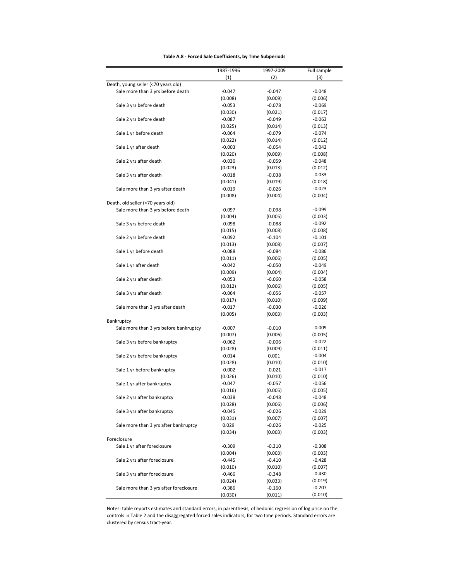| Table A.8 - Forced Sale Coefficients, by Time Subperiods |  |  |
|----------------------------------------------------------|--|--|
|----------------------------------------------------------|--|--|

|                                        | 1987-1996 | 1997-2009 | Full sample |
|----------------------------------------|-----------|-----------|-------------|
|                                        | (1)       | (2)       | (3)         |
| Death, young seller (<70 years old)    |           |           |             |
| Sale more than 3 yrs before death      | $-0.047$  | $-0.047$  | $-0.048$    |
|                                        | (0.008)   | (0.009)   | (0.006)     |
| Sale 3 yrs before death                | $-0.053$  | $-0.078$  | $-0.069$    |
|                                        | (0.030)   | (0.021)   | (0.017)     |
| Sale 2 yrs before death                | $-0.087$  | $-0.049$  | $-0.063$    |
|                                        | (0.025)   | (0.014)   | (0.013)     |
| Sale 1 yr before death                 | $-0.064$  | $-0.079$  | $-0.074$    |
|                                        | (0.022)   | (0.014)   | (0.012)     |
| Sale 1 yr after death                  | $-0.003$  | $-0.054$  | $-0.042$    |
|                                        | (0.020)   | (0.009)   | (0.008)     |
| Sale 2 yrs after death                 | $-0.030$  | $-0.059$  | $-0.048$    |
|                                        | (0.023)   | (0.013)   | (0.012)     |
| Sale 3 yrs after death                 | $-0.018$  | $-0.038$  | $-0.033$    |
|                                        | (0.041)   | (0.019)   | (0.018)     |
| Sale more than 3 yrs after death       | $-0.019$  | $-0.026$  | $-0.023$    |
|                                        | (0.008)   | (0.004)   | (0.004)     |
| Death, old seller (>70 years old)      |           |           |             |
| Sale more than 3 yrs before death      | $-0.097$  | $-0.098$  | $-0.099$    |
|                                        | (0.004)   | (0.005)   | (0.003)     |
| Sale 3 yrs before death                | $-0.098$  | $-0.088$  | $-0.092$    |
|                                        | (0.015)   | (0.008)   | (0.008)     |
| Sale 2 yrs before death                | $-0.092$  | $-0.104$  | $-0.101$    |
|                                        | (0.013)   | (0.008)   | (0.007)     |
| Sale 1 yr before death                 | $-0.088$  | $-0.084$  | $-0.086$    |
|                                        | (0.011)   | (0.006)   | (0.005)     |
| Sale 1 yr after death                  | $-0.042$  | $-0.050$  | $-0.049$    |
|                                        |           |           |             |
|                                        | (0.009)   | (0.004)   | (0.004)     |
| Sale 2 yrs after death                 | $-0.053$  | $-0.060$  | $-0.058$    |
|                                        | (0.012)   | (0.006)   | (0.005)     |
| Sale 3 yrs after death                 | $-0.064$  | $-0.056$  | $-0.057$    |
|                                        | (0.017)   | (0.010)   | (0.009)     |
| Sale more than 3 yrs after death       | $-0.017$  | $-0.030$  | $-0.026$    |
|                                        | (0.005)   | (0.003)   | (0.003)     |
| Bankruptcy                             |           |           |             |
| Sale more than 3 yrs before bankruptcy | $-0.007$  | $-0.010$  | $-0.009$    |
|                                        | (0.007)   | (0.006)   | (0.005)     |
| Sale 3 yrs before bankruptcy           | $-0.062$  | $-0.006$  | $-0.022$    |
|                                        | (0.028)   | (0.009)   | (0.011)     |
| Sale 2 yrs before bankruptcy           | $-0.014$  | 0.001     | $-0.004$    |
|                                        | (0.028)   | (0.010)   | (0.010)     |
| Sale 1 yr before bankruptcy            | $-0.002$  | $-0.021$  | $-0.017$    |
|                                        | (0.026)   | (0.010)   | (0.010)     |
| Sale 1 yr after bankruptcy             | $-0.047$  | $-0.057$  | $-0.056$    |
|                                        | (0.016)   | (0.005)   | (0.005)     |
| Sale 2 yrs after bankruptcy            | $-0.038$  | $-0.048$  | $-0.048$    |
|                                        | (0.028)   | (0.006)   | (0.006)     |
| Sale 3 yrs after bankruptcy            | $-0.045$  | $-0.026$  | $-0.029$    |
|                                        | (0.031)   | (0.007)   | (0.007)     |
| Sale more than 3 yrs after bankruptcy  | 0.029     | $-0.026$  | $-0.025$    |
|                                        | (0.034)   | (0.003)   | (0.003)     |
| Foreclosure                            |           |           |             |
| Sale 1 yr after foreclosure            | $-0.309$  | $-0.310$  | $-0.308$    |
|                                        | (0.004)   | (0.003)   | (0.003)     |
| Sale 2 yrs after foreclosure           | $-0.445$  | $-0.410$  | $-0.428$    |
|                                        | (0.010)   | (0.010)   | (0.007)     |
| Sale 3 yrs after foreclosure           | $-0.466$  | $-0.348$  | $-0.430$    |
|                                        | (0.024)   | (0.033)   | (0.019)     |
| Sale more than 3 yrs after foreclosure | $-0.386$  | $-0.160$  | $-0.207$    |
|                                        | (0.030)   | (0.011)   | (0.010)     |

Notes: table reports estimates and standard errors, in parenthesis, of hedonic regression of log price on the controls in Table 2 and the disaggregated forced sales indicators, for two time periods. Standard errors are clustered by census tract‐year.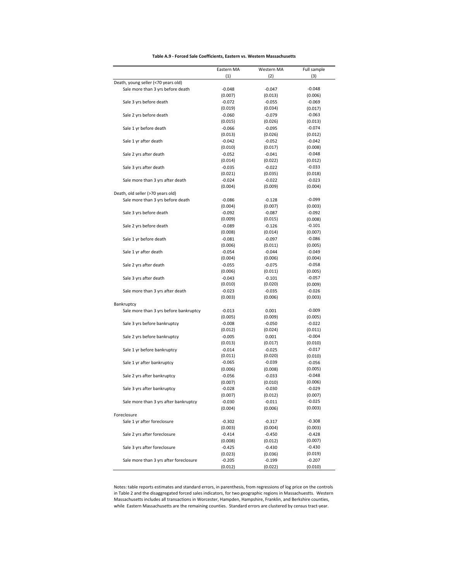| Table A.9 - Forced Sale Coefficients, Eastern vs. Western Massachusetts |  |
|-------------------------------------------------------------------------|--|
|-------------------------------------------------------------------------|--|

|                                        | Eastern MA | Western MA | Full sample |
|----------------------------------------|------------|------------|-------------|
|                                        | (1)        | (2)        | (3)         |
| Death, young seller (<70 years old)    |            |            |             |
| Sale more than 3 yrs before death      | $-0.048$   | $-0.047$   | $-0.048$    |
|                                        | (0.007)    | (0.013)    | (0.006)     |
| Sale 3 yrs before death                | $-0.072$   | $-0.055$   | $-0.069$    |
|                                        | (0.019)    | (0.034)    | (0.017)     |
| Sale 2 yrs before death                | $-0.060$   | $-0.079$   | $-0.063$    |
|                                        | (0.015)    | (0.026)    | (0.013)     |
| Sale 1 yr before death                 | $-0.066$   | $-0.095$   | $-0.074$    |
|                                        | (0.013)    | (0.026)    | (0.012)     |
| Sale 1 yr after death                  | $-0.042$   | $-0.052$   | $-0.042$    |
|                                        | (0.010)    | (0.017)    | (0.008)     |
| Sale 2 yrs after death                 | $-0.052$   | $-0.041$   | $-0.048$    |
|                                        | (0.014)    | (0.022)    | (0.012)     |
| Sale 3 yrs after death                 | $-0.035$   | $-0.022$   | $-0.033$    |
|                                        | (0.021)    | (0.035)    | (0.018)     |
| Sale more than 3 yrs after death       | $-0.024$   | $-0.022$   | $-0.023$    |
|                                        | (0.004)    | (0.009)    | (0.004)     |
| Death, old seller (>70 years old)      |            |            |             |
| Sale more than 3 yrs before death      | $-0.086$   | $-0.128$   | $-0.099$    |
|                                        | (0.004)    | (0.007)    | (0.003)     |
| Sale 3 yrs before death                | $-0.092$   | $-0.087$   | $-0.092$    |
|                                        | (0.009)    | (0.015)    | (0.008)     |
| Sale 2 yrs before death                | $-0.089$   | $-0.126$   | $-0.101$    |
|                                        | (0.008)    | (0.014)    | (0.007)     |
| Sale 1 yr before death                 | $-0.081$   | $-0.097$   | $-0.086$    |
|                                        | (0.006)    | (0.011)    | (0.005)     |
| Sale 1 yr after death                  | $-0.054$   | $-0.044$   | $-0.049$    |
|                                        | (0.004)    | (0.006)    | (0.004)     |
|                                        |            |            | $-0.058$    |
| Sale 2 yrs after death                 | $-0.055$   | $-0.075$   |             |
|                                        | (0.006)    | (0.011)    | (0.005)     |
| Sale 3 yrs after death                 | $-0.043$   | $-0.101$   | $-0.057$    |
|                                        | (0.010)    | (0.020)    | (0.009)     |
| Sale more than 3 yrs after death       | $-0.023$   | $-0.035$   | $-0.026$    |
|                                        | (0.003)    | (0.006)    | (0.003)     |
| Bankruptcy                             |            |            |             |
| Sale more than 3 yrs before bankruptcy | $-0.013$   | 0.001      | $-0.009$    |
|                                        | (0.005)    | (0.009)    | (0.005)     |
| Sale 3 yrs before bankruptcy           | $-0.008$   | $-0.050$   | $-0.022$    |
|                                        | (0.012)    | (0.024)    | (0.011)     |
| Sale 2 yrs before bankruptcy           | $-0.005$   | 0.001      | $-0.004$    |
|                                        | (0.013)    | (0.017)    | (0.010)     |
| Sale 1 yr before bankruptcy            | $-0.014$   | $-0.025$   | $-0.017$    |
|                                        | (0.011)    | (0.020)    | (0.010)     |
| Sale 1 yr after bankruptcy             | $-0.065$   | $-0.039$   | $-0.056$    |
|                                        | (0.006)    | (0.008)    | (0.005)     |
| Sale 2 yrs after bankruptcy            | $-0.056$   | $-0.033$   | $-0.048$    |
|                                        | (0.007)    | (0.010)    | (0.006)     |
| Sale 3 yrs after bankruptcy            | $-0.028$   | $-0.030$   | $-0.029$    |
|                                        | (0.007)    | (0.012)    | (0.007)     |
| Sale more than 3 yrs after bankruptcy  | $-0.030$   | $-0.011$   | $-0.025$    |
|                                        | (0.004)    | (0.006)    | (0.003)     |
| Foreclosure                            |            |            |             |
| Sale 1 yr after foreclosure            | $-0.302$   | $-0.317$   | $-0.308$    |
|                                        | (0.003)    | (0.004)    | (0.003)     |
| Sale 2 yrs after foreclosure           | $-0.414$   | $-0.450$   | $-0.428$    |
|                                        | (0.008)    | (0.012)    | (0.007)     |
| Sale 3 yrs after foreclosure           | $-0.425$   | $-0.430$   | $-0.430$    |
|                                        | (0.023)    | (0.036)    | (0.019)     |
| Sale more than 3 yrs after foreclosure | $-0.205$   | $-0.199$   | $-0.207$    |
|                                        | (0.012)    | (0.022)    | (0.010)     |

Notes: table reports estimates and standard errors, in parenthesis, from regressions of log price on the controls in Table 2 and the disaggregated forced sales indicators, for two geographic regions in Massachuestts. Western Massachusetts includes all transactions in Worcester, Hampden, Hampshire, Franklin, and Berkshire counties, while Eastern Massachusetts are the remaining counties. Standard errors are clustered by census tract‐year.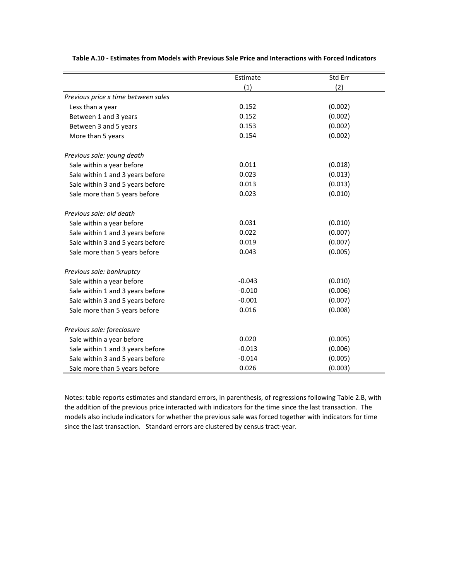|                                     | Estimate | Std Err |
|-------------------------------------|----------|---------|
|                                     | (1)      | (2)     |
| Previous price x time between sales |          |         |
| Less than a year                    | 0.152    | (0.002) |
| Between 1 and 3 years               | 0.152    | (0.002) |
| Between 3 and 5 years               | 0.153    | (0.002) |
| More than 5 years                   | 0.154    | (0.002) |
| Previous sale: young death          |          |         |
| Sale within a year before           | 0.011    | (0.018) |
| Sale within 1 and 3 years before    | 0.023    | (0.013) |
| Sale within 3 and 5 years before    | 0.013    | (0.013) |
| Sale more than 5 years before       | 0.023    | (0.010) |
| Previous sale: old death            |          |         |
| Sale within a year before           | 0.031    | (0.010) |
| Sale within 1 and 3 years before    | 0.022    | (0.007) |
| Sale within 3 and 5 years before    | 0.019    | (0.007) |
| Sale more than 5 years before       | 0.043    | (0.005) |
| Previous sale: bankruptcy           |          |         |
| Sale within a year before           | $-0.043$ | (0.010) |
| Sale within 1 and 3 years before    | $-0.010$ | (0.006) |
| Sale within 3 and 5 years before    | $-0.001$ | (0.007) |
| Sale more than 5 years before       | 0.016    | (0.008) |
| Previous sale: foreclosure          |          |         |
| Sale within a year before           | 0.020    | (0.005) |
| Sale within 1 and 3 years before    | $-0.013$ | (0.006) |
| Sale within 3 and 5 years before    | $-0.014$ | (0.005) |
| Sale more than 5 years before       | 0.026    | (0.003) |

**Table A.10 ‐ Estimates from Models with Previous Sale Price and Interactions with Forced Indicators**

Notes: table reports estimates and standard errors, in parenthesis, of regressions following Table 2.B, with the addition of the previous price interacted with indicators for the time since the last transaction. The models also include indicators for whether the previous sale was forced together with indicators for time since the last transaction. Standard errors are clustered by census tract-year.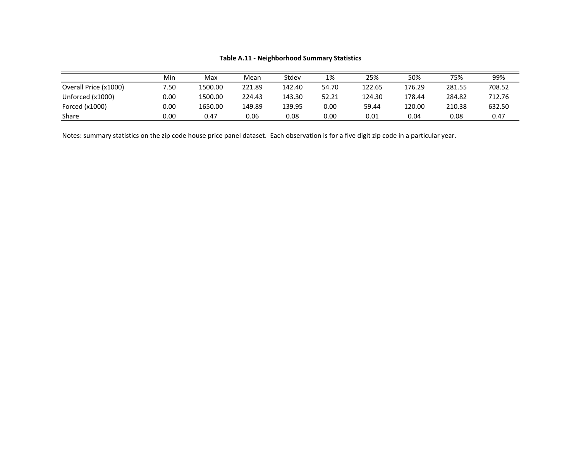|                       | Min  | Max     | Mean   | Stdev  | 1%    | 25%    | 50%    | 75%    | 99%    |
|-----------------------|------|---------|--------|--------|-------|--------|--------|--------|--------|
| Overall Price (x1000) | 7.50 | 1500.00 | 221.89 | 142.40 | 54.70 | 122.65 | 176.29 | 281.55 | 708.52 |
| Unforced (x1000)      | 0.00 | 1500.00 | 224.43 | 143.30 | 52.21 | 124.30 | 178.44 | 284.82 | 712.76 |
| Forced (x1000)        | 0.00 | 1650.00 | 149.89 | 139.95 | 0.00  | 59.44  | 120.00 | 210.38 | 632.50 |
| Share                 | 0.00 | 0.47    | 0.06   | 0.08   | 0.00  | 0.01   | 0.04   | 0.08   | 0.47   |

### **Table A.11 ‐ Neighborhood Summary Statistics**

Notes: summary statistics on the zip code house price panel dataset. Each observation is for <sup>a</sup> five digit zip code in <sup>a</sup> particular year.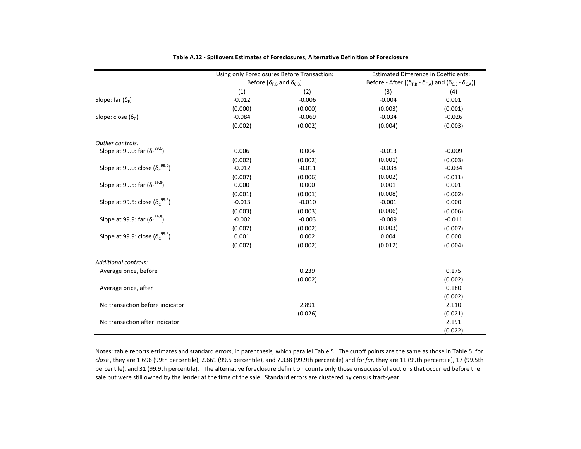|                                                      |          | Using only Foreclosures Before Transaction: |          | <b>Estimated Difference in Coefficients:</b>                                         |
|------------------------------------------------------|----------|---------------------------------------------|----------|--------------------------------------------------------------------------------------|
|                                                      |          | Before $[\delta_{F,B}$ and $\delta_{C,B}]$  |          | Before - After $[(\delta_{F,B} - \delta_{F,A})$ and $(\delta_{C,B} - \delta_{C,A})]$ |
|                                                      | (1)      | (2)                                         | (3)      | (4)                                                                                  |
| Slope: far $(\delta_F)$                              | $-0.012$ | $-0.006$                                    | $-0.004$ | 0.001                                                                                |
|                                                      | (0.000)  | (0.000)                                     | (0.003)  | (0.001)                                                                              |
| Slope: close (δ <sub>c</sub> )                       | $-0.084$ | $-0.069$                                    | $-0.034$ | $-0.026$                                                                             |
|                                                      | (0.002)  | (0.002)                                     | (0.004)  | (0.003)                                                                              |
| Outlier controls:                                    |          |                                             |          |                                                                                      |
| Slope at 99.0: far $(\delta_F^{99.0})$               | 0.006    | 0.004                                       | $-0.013$ | $-0.009$                                                                             |
|                                                      | (0.002)  | (0.002)                                     | (0.001)  | (0.003)                                                                              |
| Slope at 99.0: close $(\delta_c^{99.0})$             | $-0.012$ | $-0.011$                                    | $-0.038$ | $-0.034$                                                                             |
|                                                      | (0.007)  | (0.006)                                     | (0.002)  | (0.011)                                                                              |
| Slope at 99.5: far (δ <sub>ε</sub> <sup>99.5</sup> ) | 0.000    | 0.000                                       | 0.001    | 0.001                                                                                |
|                                                      | (0.001)  | (0.001)                                     | (0.008)  | (0.002)                                                                              |
| Slope at 99.5: close $(\delta_c^{99.5})$             | $-0.013$ | $-0.010$                                    | $-0.001$ | 0.000                                                                                |
|                                                      | (0.003)  | (0.003)                                     | (0.006)  | (0.006)                                                                              |
| Slope at 99.9: far $(\delta_F^{99.9})$               | $-0.002$ | $-0.003$                                    | $-0.009$ | $-0.011$                                                                             |
|                                                      | (0.002)  | (0.002)                                     | (0.003)  | (0.007)                                                                              |
| Slope at 99.9: close $(\delta_c^{99.9})$             | 0.001    | 0.002                                       | 0.004    | 0.000                                                                                |
|                                                      | (0.002)  | (0.002)                                     | (0.012)  | (0.004)                                                                              |
| Additional controls:                                 |          |                                             |          |                                                                                      |
| Average price, before                                |          | 0.239                                       |          | 0.175                                                                                |
|                                                      |          | (0.002)                                     |          | (0.002)                                                                              |
| Average price, after                                 |          |                                             |          | 0.180                                                                                |
|                                                      |          |                                             |          | (0.002)                                                                              |
| No transaction before indicator                      |          | 2.891                                       |          | 2.110                                                                                |
|                                                      |          | (0.026)                                     |          | (0.021)                                                                              |
| No transaction after indicator                       |          |                                             |          | 2.191                                                                                |
|                                                      |          |                                             |          | (0.022)                                                                              |

| Table A.12 - Spillovers Estimates of Foreclosures, Alternative Definition of Foreclosure |  |
|------------------------------------------------------------------------------------------|--|
|------------------------------------------------------------------------------------------|--|

Notes: table reports estimates and standard errors, in parenthesis, which parallel Table 5. The cutoff points are the same as those in Table 5: for *close* , they are 1.696 (99th percentile), 2.661 (99.5 percentile), and 7.338 (99.9th percentile) and for*far,* they are 11 (99th percentile), 17 (99.5th percentile), and 31 (99.9th percentile). The alternative foreclosure definition counts only those unsuccessful auctions that occurred before the sale but were still owned by the lender at the time of the sale. Standard errors are clustered by census tract‐year.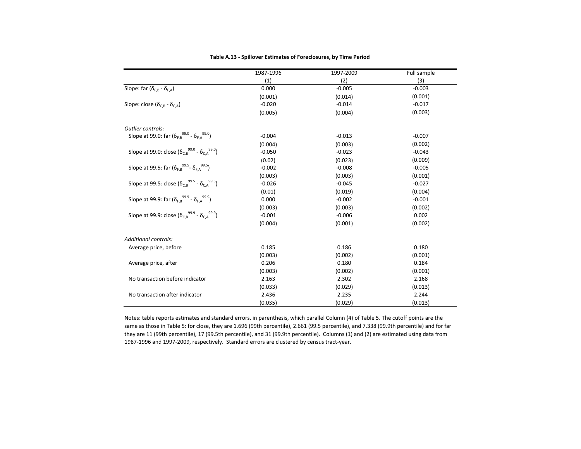|                                                                                        | 1987-1996 | 1997-2009 | Full sample |
|----------------------------------------------------------------------------------------|-----------|-----------|-------------|
|                                                                                        | (1)       | (2)       | (3)         |
| Slope: far $(\delta_{F.B} - \delta_{F.A})$                                             | 0.000     | $-0.005$  | $-0.003$    |
|                                                                                        | (0.001)   | (0.014)   | (0.001)     |
| Slope: close ( $\delta_{\text{C-B}}$ - $\delta_{\text{C-A}}$ )                         | $-0.020$  | $-0.014$  | $-0.017$    |
|                                                                                        | (0.005)   | (0.004)   | (0.003)     |
| Outlier controls:                                                                      |           |           |             |
| Slope at 99.0: far $(\delta_{\text{F,B}}^{99.0}$ - $\delta_{\text{F,A}}^{99.0})$       | $-0.004$  | $-0.013$  | $-0.007$    |
|                                                                                        | (0.004)   | (0.003)   | (0.002)     |
| Slope at 99.0: close $(\delta_{C,B}^{99.0} - \delta_{C,A}^{99.0})$                     | $-0.050$  | $-0.023$  | $-0.043$    |
|                                                                                        | (0.02)    | (0.023)   | (0.009)     |
| Slope at 99.5: far ( $\delta_{F,B}$ <sup>99.5</sup> - $\delta_{F,A}$ <sup>99.5</sup> ) | $-0.002$  | $-0.008$  | $-0.005$    |
|                                                                                        | (0.003)   | (0.003)   | (0.001)     |
| Slope at 99.5: close $(\delta_{C,B}^{99.5} - \delta_{C,A}^{99.5})$                     | $-0.026$  | $-0.045$  | $-0.027$    |
|                                                                                        | (0.01)    | (0.019)   | (0.004)     |
| Slope at 99.9: far $(\delta_{F,B}^{99.9} - \delta_{F,A}^{99.9})$                       | 0.000     | $-0.002$  | $-0.001$    |
|                                                                                        | (0.003)   | (0.003)   | (0.002)     |
| Slope at 99.9: close $(\delta_{C,B}^{99.9} - \delta_{C,A}^{99.9})$                     | $-0.001$  | $-0.006$  | 0.002       |
|                                                                                        | (0.004)   | (0.001)   | (0.002)     |
| Additional controls:                                                                   |           |           |             |
| Average price, before                                                                  | 0.185     | 0.186     | 0.180       |
|                                                                                        | (0.003)   | (0.002)   | (0.001)     |
| Average price, after                                                                   | 0.206     | 0.180     | 0.184       |
|                                                                                        | (0.003)   | (0.002)   | (0.001)     |
| No transaction before indicator                                                        | 2.163     | 2.302     | 2.168       |
|                                                                                        | (0.033)   | (0.029)   | (0.013)     |
| No transaction after indicator                                                         | 2.436     | 2.235     | 2.244       |
|                                                                                        | (0.035)   | (0.029)   | (0.013)     |

#### **Table A.13 ‐ Spillover Estimates of Foreclosures, by Time Period**

Notes: table reports estimates and standard errors, in parenthesis, which parallel Column (4) of Table 5. The cutoff points are the same as those in Table 5: for close, they are 1.696 (99th percentile), 2.661 (99.5 percentile), and 7.338 (99.9th percentile) and for far they are 11 (99th percentile), 17 (99.5th percentile), and 31 (99.9th percentile). Columns (1) and (2) are estimated using data from 1987‐1996 and 1997‐2009, respectively. Standard errors are clustered by census tract‐year.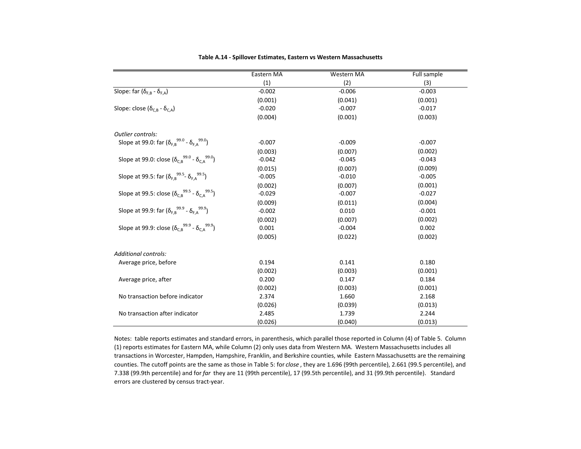|                                                                    | Eastern MA | Western MA | Full sample |
|--------------------------------------------------------------------|------------|------------|-------------|
|                                                                    | (1)        | (2)        | (3)         |
| Slope: far $(\delta_{F.B} - \delta_{F.A})$                         | $-0.002$   | $-0.006$   | $-0.003$    |
|                                                                    | (0.001)    | (0.041)    | (0.001)     |
| Slope: close $(\delta_{C,B} - \delta_{C,A})$                       | $-0.020$   | $-0.007$   | $-0.017$    |
|                                                                    | (0.004)    | (0.001)    | (0.003)     |
| Outlier controls:                                                  |            |            |             |
| Slope at 99.0: far $(\delta_{F,B}^{99.0} - \delta_{F,A}^{99.0})$   | $-0.007$   | $-0.009$   | $-0.007$    |
|                                                                    | (0.003)    | (0.007)    | (0.002)     |
| Slope at 99.0: close $(\delta_{C,B}^{99.0} - \delta_{C,A}^{99.0})$ | $-0.042$   | $-0.045$   | $-0.043$    |
|                                                                    | (0.015)    | (0.007)    | (0.009)     |
| Slope at 99.5: far $(\delta_{F,B}^{99.5}$ - $\delta_{F,A}^{99.5})$ | $-0.005$   | $-0.010$   | $-0.005$    |
|                                                                    | (0.002)    | (0.007)    | (0.001)     |
| Slope at 99.5: close $(\delta_{C,B}^{99.5} - \delta_{C,A}^{99.5})$ | $-0.029$   | $-0.007$   | $-0.027$    |
|                                                                    | (0.009)    | (0.011)    | (0.004)     |
| Slope at 99.9: far $(\delta_{F,B}^{99.9} - \delta_{F,A}^{99.9})$   | $-0.002$   | 0.010      | $-0.001$    |
|                                                                    | (0.002)    | (0.007)    | (0.002)     |
| Slope at 99.9: close $(\delta_{C,B}^{99.9} - \delta_{C,A}^{99.9})$ | 0.001      | $-0.004$   | 0.002       |
|                                                                    | (0.005)    | (0.022)    | (0.002)     |
| Additional controls:                                               |            |            |             |
| Average price, before                                              | 0.194      | 0.141      | 0.180       |
|                                                                    | (0.002)    | (0.003)    | (0.001)     |
| Average price, after                                               | 0.200      | 0.147      | 0.184       |
|                                                                    | (0.002)    | (0.003)    | (0.001)     |
| No transaction before indicator                                    | 2.374      | 1.660      | 2.168       |
|                                                                    | (0.026)    | (0.039)    | (0.013)     |
| No transaction after indicator                                     | 2.485      | 1.739      | 2.244       |
|                                                                    | (0.026)    | (0.040)    | (0.013)     |

#### **Table A.14 ‐ Spillover Estimates, Eastern vs Western Massachusetts**

Notes: table reports estimates and standard errors, in parenthesis, which parallel those reported in Column (4) of Table 5. Column (1) reports estimates for Eastern MA, while Column (2) only uses data from Western MA. Western Massachusetts includes all transactions in Worcester, Hampden, Hampshire, Franklin, and Berkshire counties, while Eastern Massachusetts are the remaining counties. The cutoff points are the same as those in Table 5: for *close* , they are 1.696 (99th percentile), 2.661 (99.5 percentile), and 7.338 (99.9th percentile) and for *far* they are 11 (99th percentile), 17 (99.5th percentile), and 31 (99.9th percentile). Standard errors are clustered by census tract‐year.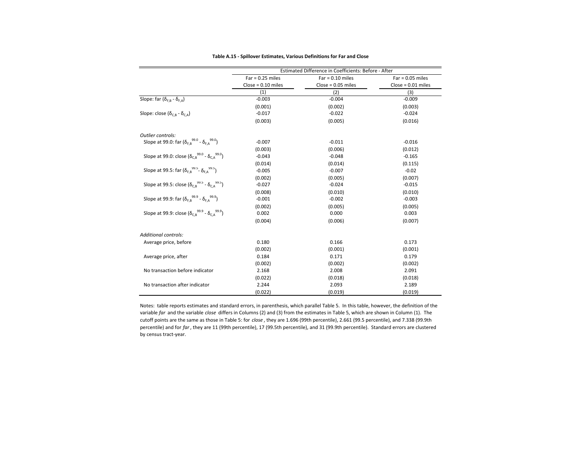|                                                                                        | Estimated Difference in Coefficients: Before - After |                      |                      |  |  |  |
|----------------------------------------------------------------------------------------|------------------------------------------------------|----------------------|----------------------|--|--|--|
|                                                                                        | $Far = 0.25$ miles                                   | $Far = 0.10$ miles   | $Far = 0.05$ miles   |  |  |  |
|                                                                                        | $Close = 0.10 miles$                                 | $Close = 0.05 miles$ | $Close = 0.01$ miles |  |  |  |
|                                                                                        | (1)                                                  | (2)                  | (3)                  |  |  |  |
| Slope: far ( $\delta_{F,B}$ - $\delta_{F,A}$ )                                         | $-0.003$                                             | $-0.004$             | $-0.009$             |  |  |  |
|                                                                                        | (0.001)                                              | (0.002)              | (0.003)              |  |  |  |
| Slope: close ( $\delta_{\text{c},\text{B}}$ - $\delta_{\text{c},\text{A}}$ )           | $-0.017$                                             | $-0.022$             | $-0.024$             |  |  |  |
|                                                                                        | (0.003)                                              | (0.005)              | (0.016)              |  |  |  |
| Outlier controls:                                                                      |                                                      |                      |                      |  |  |  |
| Slope at 99.0: far $(\delta_{\text{F,B}}^{99.0}$ - $\delta_{\text{F,A}}^{99.0})$       | $-0.007$                                             | $-0.011$             | $-0.016$             |  |  |  |
|                                                                                        | (0.003)                                              | (0.006)              | (0.012)              |  |  |  |
| Slope at 99.0: close $(\delta_{C,B}^{99.0} - \delta_{C,A}^{99.0})$                     | $-0.043$                                             | $-0.048$             | $-0.165$             |  |  |  |
|                                                                                        | (0.014)                                              | (0.014)              | (0.115)              |  |  |  |
| Slope at 99.5: far ( $\delta_{F,B}$ <sup>99.5</sup> - $\delta_{F,A}$ <sup>99.5</sup> ) | $-0.005$                                             | $-0.007$             | $-0.02$              |  |  |  |
|                                                                                        | (0.002)                                              | (0.005)              | (0.007)              |  |  |  |
| Slope at 99.5: close ( $\delta_{C,B}^{99.5}$ - $\delta_{C,A}^{99.5}$ )                 | $-0.027$                                             | $-0.024$             | $-0.015$             |  |  |  |
|                                                                                        | (0.008)                                              | (0.010)              | (0.010)              |  |  |  |
| Slope at 99.9: far $(\delta_{F,B}^{99.9} - \delta_{F,A}^{99.9})$                       | $-0.001$                                             | $-0.002$             | $-0.003$             |  |  |  |
|                                                                                        | (0.002)                                              | (0.005)              | (0.005)              |  |  |  |
| Slope at 99.9: close $(\delta_{C,B}^{99.9} - \delta_{C,A}^{99.9})$                     | 0.002                                                | 0.000                | 0.003                |  |  |  |
|                                                                                        | (0.004)                                              | (0.006)              | (0.007)              |  |  |  |
| <b>Additional controls:</b>                                                            |                                                      |                      |                      |  |  |  |
| Average price, before                                                                  | 0.180                                                | 0.166                | 0.173                |  |  |  |
|                                                                                        | (0.002)                                              | (0.001)              | (0.001)              |  |  |  |
| Average price, after                                                                   | 0.184                                                | 0.171                | 0.179                |  |  |  |
|                                                                                        | (0.002)                                              | (0.002)              | (0.002)              |  |  |  |
| No transaction before indicator                                                        | 2.168                                                | 2.008                | 2.091                |  |  |  |
|                                                                                        | (0.022)                                              | (0.018)              | (0.018)              |  |  |  |
| No transaction after indicator                                                         | 2.244                                                | 2.093                | 2.189                |  |  |  |
|                                                                                        | (0.022)                                              | (0.019)              | (0.019)              |  |  |  |

**Table A.15 ‐ Spillover Estimates, Various Definitions for Far and Close**

Notes: table reports estimates and standard errors, in parenthesis, which parallel Table 5. In this table, however, the definition of the variable *far* and the variable *close* differs in Columns (2) and (3) from the estimates in Table 5, which are shown in Column (1). The cutoff points are the same as those in Table 5: for *close* , they are 1.696 (99th percentile), 2.661 (99.5 percentile), and 7.338 (99.9th percentile) and for *far* , they are 11 (99th percentile), 17 (99.5th percentile), and 31 (99.9th percentile). Standard errors are clustered by census tract‐year.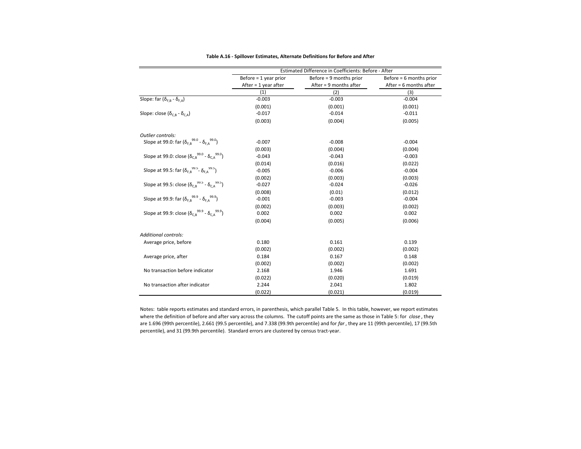|                                                                                  | Estimated Difference in Coefficients: Before - After |                         |                          |  |  |  |
|----------------------------------------------------------------------------------|------------------------------------------------------|-------------------------|--------------------------|--|--|--|
|                                                                                  | Before $= 1$ year prior                              | Before = 9 months prior | Before = 6 months prior  |  |  |  |
|                                                                                  | After = 1 year after                                 | After = 9 months after  | After = $6$ months after |  |  |  |
|                                                                                  | (1)                                                  | (2)                     | (3)                      |  |  |  |
| Slope: far $(\delta_{F.B} - \delta_{F.A})$                                       | $-0.003$                                             | $-0.003$                | $-0.004$                 |  |  |  |
|                                                                                  | (0.001)                                              | (0.001)                 | (0.001)                  |  |  |  |
| Slope: close ( $\delta_{\text{c},\text{B}}$ - $\delta_{\text{c},\text{A}}$ )     | $-0.017$                                             | $-0.014$                | $-0.011$                 |  |  |  |
|                                                                                  | (0.003)                                              | (0.004)                 | (0.005)                  |  |  |  |
| Outlier controls:                                                                |                                                      |                         |                          |  |  |  |
| Slope at 99.0: far $(\delta_{\text{F,B}}^{99.0}$ - $\delta_{\text{F,A}}^{99.0})$ | $-0.007$                                             | $-0.008$                | $-0.004$                 |  |  |  |
|                                                                                  | (0.003)                                              | (0.004)                 | (0.004)                  |  |  |  |
| Slope at 99.0: close $(\delta_{C,B}^{99.0} - \delta_{C,A}^{99.0})$               | $-0.043$                                             | $-0.043$                | $-0.003$                 |  |  |  |
|                                                                                  | (0.014)                                              | (0.016)                 | (0.022)                  |  |  |  |
| Slope at 99.5: far ( $\delta_{F,B}^{99.5}$ - $\delta_{F,A}^{99.5}$ )             | $-0.005$                                             | $-0.006$                | $-0.004$                 |  |  |  |
|                                                                                  | (0.002)                                              | (0.003)                 | (0.003)                  |  |  |  |
| Slope at 99.5: close $(\delta_{C,B}^{99.5} - \delta_{C,A}^{99.5})$               | $-0.027$                                             | $-0.024$                | $-0.026$                 |  |  |  |
|                                                                                  | (0.008)                                              | (0.01)                  | (0.012)                  |  |  |  |
| Slope at 99.9: far $(\delta_{F,B}^{99.9}$ - $\delta_{F,A}^{99.9})$               | $-0.001$                                             | $-0.003$                | $-0.004$                 |  |  |  |
|                                                                                  | (0.002)                                              | (0.003)                 | (0.002)                  |  |  |  |
| Slope at 99.9: close $(\delta_{\text{CB}}^{99.9} - \delta_{\text{CA}}^{99.9})$   | 0.002                                                | 0.002                   | 0.002                    |  |  |  |
|                                                                                  | (0.004)                                              | (0.005)                 | (0.006)                  |  |  |  |
| <b>Additional controls:</b>                                                      |                                                      |                         |                          |  |  |  |
| Average price, before                                                            | 0.180                                                | 0.161                   | 0.139                    |  |  |  |
|                                                                                  | (0.002)                                              | (0.002)                 | (0.002)                  |  |  |  |
| Average price, after                                                             | 0.184                                                | 0.167                   | 0.148                    |  |  |  |
|                                                                                  | (0.002)                                              | (0.002)                 | (0.002)                  |  |  |  |
| No transaction before indicator                                                  | 2.168                                                | 1.946                   | 1.691                    |  |  |  |
|                                                                                  | (0.022)                                              | (0.020)                 | (0.019)                  |  |  |  |
| No transaction after indicator                                                   | 2.244                                                | 2.041                   | 1.802                    |  |  |  |
|                                                                                  | (0.022)                                              | (0.021)                 | (0.019)                  |  |  |  |

#### **Table A.16 ‐ Spillover Estimates, Alternate Definitions for Before and After**

Notes: table reports estimates and standard errors, in parenthesis, which parallel Table 5. In this table, however, we report estimates where the definition of before and after vary across the columns. The cutoff points are the same as those in Table 5: for *close* , they are 1.696 (99th percentile), 2.661 (99.5 percentile), and 7.338 (99.9th percentile) and for *far* , they are 11 (99th percentile), 17 (99.5th percentile), and 31 (99.9th percentile). Standard errors are clustered by census tract‐year.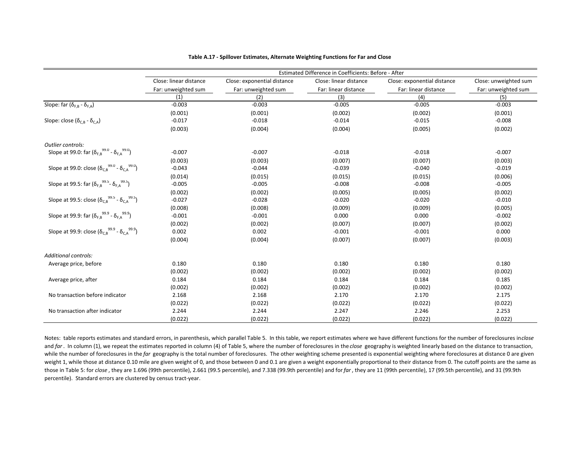|                                                                                  |                        |                             | Estimated Difference in Coefficients: Before - After |                             |                       |
|----------------------------------------------------------------------------------|------------------------|-----------------------------|------------------------------------------------------|-----------------------------|-----------------------|
|                                                                                  | Close: linear distance | Close: exponential distance | Close: linear distance                               | Close: exponential distance | Close: unweighted sum |
|                                                                                  | Far: unweighted sum    | Far: unweighted sum         | Far: linear distance                                 | Far: linear distance        | Far: unweighted sum   |
|                                                                                  | (1)                    | (2)                         | (3)                                                  | (4)                         | (5)                   |
| Slope: far ( $\delta_{F.B}$ - $\delta_{F.A}$ )                                   | $-0.003$               | $-0.003$                    | $-0.005$                                             | $-0.005$                    | $-0.003$              |
|                                                                                  | (0.001)                | (0.001)                     | (0.002)                                              | (0.002)                     | (0.001)               |
| Slope: close $(\delta_{CB} - \delta_{CA})$                                       | $-0.017$               | $-0.018$                    | $-0.014$                                             | $-0.015$                    | $-0.008$              |
|                                                                                  | (0.003)                | (0.004)                     | (0.004)                                              | (0.005)                     | (0.002)               |
| Outlier controls:                                                                |                        |                             |                                                      |                             |                       |
| Slope at 99.0: far $(\delta_{F,B}^{99.0} - \delta_{F,A}^{99.0})$                 | $-0.007$               | $-0.007$                    | $-0.018$                                             | $-0.018$                    | $-0.007$              |
|                                                                                  | (0.003)                | (0.003)                     | (0.007)                                              | (0.007)                     | (0.003)               |
| Slope at 99.0: close $(\delta_{C,B}^{99.0} - \delta_{C,A}^{99.0})$               | $-0.043$               | $-0.044$                    | $-0.039$                                             | $-0.040$                    | $-0.019$              |
|                                                                                  | (0.014)                | (0.015)                     | (0.015)                                              | (0.015)                     | (0.006)               |
| Slope at 99.5: far $(\delta_{F,B}^{99.5}$ - $\delta_{F,A}^{99.5})$               | $-0.005$               | $-0.005$                    | $-0.008$                                             | $-0.008$                    | $-0.005$              |
|                                                                                  | (0.002)                | (0.002)                     | (0.005)                                              | (0.005)                     | (0.002)               |
| Slope at 99.5: close $(\delta_{C,B}^{99.5} - \delta_{C,A}^{99.5})$               | $-0.027$               | $-0.028$                    | $-0.020$                                             | $-0.020$                    | $-0.010$              |
|                                                                                  | (0.008)                | (0.008)                     | (0.009)                                              | (0.009)                     | (0.005)               |
| Slope at 99.9: far $(\delta_{F,B}^{99.9} - \delta_{F,A}^{99.9})$                 | $-0.001$               | $-0.001$                    | 0.000                                                | 0.000                       | $-0.002$              |
|                                                                                  | (0.002)                | (0.002)                     | (0.007)                                              | (0.007)                     | (0.002)               |
| Slope at 99.9: close $(\delta_{\text{CB}}^{99.9}$ - $\delta_{\text{CA}}^{99.9})$ | 0.002                  | 0.002                       | $-0.001$                                             | $-0.001$                    | 0.000                 |
|                                                                                  | (0.004)                | (0.004)                     | (0.007)                                              | (0.007)                     | (0.003)               |
| <b>Additional controls:</b>                                                      |                        |                             |                                                      |                             |                       |
| Average price, before                                                            | 0.180                  | 0.180                       | 0.180                                                | 0.180                       | 0.180                 |
|                                                                                  | (0.002)                | (0.002)                     | (0.002)                                              | (0.002)                     | (0.002)               |
| Average price, after                                                             | 0.184                  | 0.184                       | 0.184                                                | 0.184                       | 0.185                 |
|                                                                                  | (0.002)                | (0.002)                     | (0.002)                                              | (0.002)                     | (0.002)               |
| No transaction before indicator                                                  | 2.168                  | 2.168                       | 2.170                                                | 2.170                       | 2.175                 |
|                                                                                  | (0.022)                | (0.022)                     | (0.022)                                              | (0.022)                     | (0.022)               |
| No transaction after indicator                                                   | 2.244                  | 2.244                       | 2.247                                                | 2.246                       | 2.253                 |
|                                                                                  | (0.022)                | (0.022)                     | (0.022)                                              | (0.022)                     | (0.022)               |

#### **Table A.17 ‐ Spillover Estimates, Alternate Weighting Functions for Far and Close**

Notes: table reports estimates and standard errors, in parenthesis, which parallel Table 5. In this table, we report estimates where we have different functions for the number of foreclosures in*close* and *far* . In column (1), we repeat the estimates reported in column (4) of Table 5, where the number of foreclosures in the *close* geography is weighted linearly based on the distance to transaction, while the number of foreclosures in the *far* geography is the total number of foreclosures. The other weighting scheme presented is exponential weighting where foreclosures at distance 0 are given weight 1, while those at distance 0.10 mile are given weight of 0, and those between 0 and 0.1 are given a weight exponentially proportional to their distance from 0. The cutoff points are the same as those in Table 5: for *close* , they are 1.696 (99th percentile), 2.661 (99.5 percentile), and 7.338 (99.9th percentile) and for*far* , they are 11 (99th percentile), 17 (99.5th percentile), and 31 (99.9th percentile). Standard errors are clustered by census tract‐year.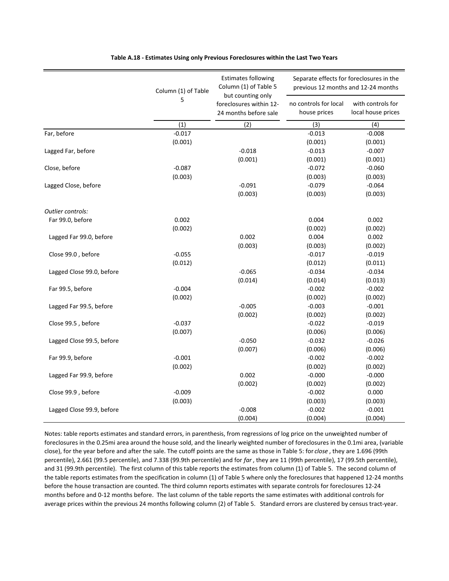|                           | Column (1) of Table | <b>Estimates following</b><br>Column (1) of Table 5<br>but counting only | Separate effects for foreclosures in the<br>previous 12 months and 12-24 months |                                         |
|---------------------------|---------------------|--------------------------------------------------------------------------|---------------------------------------------------------------------------------|-----------------------------------------|
|                           | 5                   | foreclosures within 12-<br>24 months before sale                         | no controls for local<br>house prices                                           | with controls for<br>local house prices |
|                           | (1)                 | (2)                                                                      | (3)                                                                             | (4)                                     |
| Far, before               | $-0.017$            |                                                                          | $-0.013$                                                                        | $-0.008$                                |
|                           | (0.001)             |                                                                          | (0.001)                                                                         | (0.001)                                 |
| Lagged Far, before        |                     | $-0.018$                                                                 | $-0.013$                                                                        | $-0.007$                                |
|                           |                     | (0.001)                                                                  | (0.001)                                                                         | (0.001)                                 |
| Close, before             | $-0.087$            |                                                                          | $-0.072$                                                                        | $-0.060$                                |
|                           | (0.003)             |                                                                          | (0.003)                                                                         | (0.003)                                 |
| Lagged Close, before      |                     | $-0.091$                                                                 | $-0.079$                                                                        | $-0.064$                                |
|                           |                     | (0.003)                                                                  | (0.003)                                                                         | (0.003)                                 |
| Outlier controls:         |                     |                                                                          |                                                                                 |                                         |
| Far 99.0, before          | 0.002               |                                                                          | 0.004                                                                           | 0.002                                   |
|                           | (0.002)             |                                                                          | (0.002)                                                                         | (0.002)                                 |
| Lagged Far 99.0, before   |                     | 0.002                                                                    | 0.004                                                                           | 0.002                                   |
|                           |                     | (0.003)                                                                  | (0.003)                                                                         | (0.002)                                 |
| Close 99.0, before        | $-0.055$            |                                                                          | $-0.017$                                                                        | $-0.019$                                |
|                           | (0.012)             |                                                                          | (0.012)                                                                         | (0.011)                                 |
| Lagged Close 99.0, before |                     | $-0.065$                                                                 | $-0.034$                                                                        | $-0.034$                                |
|                           |                     | (0.014)                                                                  | (0.014)                                                                         | (0.013)                                 |
| Far 99.5, before          | $-0.004$            |                                                                          | $-0.002$                                                                        | $-0.002$                                |
|                           | (0.002)             |                                                                          | (0.002)                                                                         | (0.002)                                 |
| Lagged Far 99.5, before   |                     | $-0.005$                                                                 | $-0.003$                                                                        | $-0.001$                                |
|                           |                     | (0.002)                                                                  | (0.002)                                                                         | (0.002)                                 |
| Close 99.5, before        | $-0.037$            |                                                                          | $-0.022$                                                                        | $-0.019$                                |
|                           | (0.007)             |                                                                          | (0.006)                                                                         | (0.006)                                 |
| Lagged Close 99.5, before |                     | $-0.050$                                                                 | $-0.032$                                                                        | $-0.026$                                |
|                           |                     | (0.007)                                                                  | (0.006)                                                                         | (0.006)                                 |
| Far 99.9, before          | $-0.001$            |                                                                          | $-0.002$                                                                        | $-0.002$                                |
|                           | (0.002)             |                                                                          | (0.002)                                                                         | (0.002)                                 |
| Lagged Far 99.9, before   |                     | 0.002                                                                    | $-0.000$                                                                        | $-0.000$                                |
|                           |                     | (0.002)                                                                  | (0.002)                                                                         | (0.002)                                 |
| Close 99.9, before        | $-0.009$            |                                                                          | $-0.002$                                                                        | 0.000                                   |
|                           | (0.003)             |                                                                          | (0.003)                                                                         | (0.003)                                 |
| Lagged Close 99.9, before |                     | $-0.008$                                                                 | $-0.002$                                                                        | $-0.001$                                |
|                           |                     | (0.004)                                                                  | (0.004)                                                                         | (0.004)                                 |

### **Table A.18 ‐ Estimates Using only Previous Foreclosures within the Last Two Years**

months before and 0‐12 months before. The last column of the table reports the same estimates with additional controls for average prices within the previous 24 months following column (2) of Table 5. Standard errors are clustered by census tract-year. Notes: table reports estimates and standard errors, in parenthesis, from regressions of log price on the unweighted number of foreclosures in the 0.25mi area around the house sold, and the linearly weighted number of foreclosures in the 0.1mi area, (variable close), for the year before and after the sale. The cutoff points are the same as those in Table 5: for *close* , they are 1.696 (99th percentile), 2.661 (99.5 percentile), and 7.338 (99.9th percentile) and for *far* , they are 11 (99th percentile), 17 (99.5th percentile), and 31 (99.9th percentile). The first column of this table reports the estimates from column (1) of Table 5. The second column of the table reports estimates from the specification in column (1) of Table 5 where only the foreclosures that happened 12‐24 months before the house transaction are counted. The third column reports estimates with separate controls for foreclosures 12‐24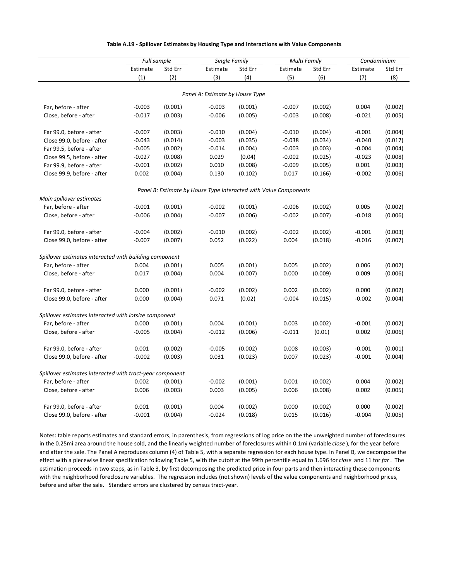|                                                          | Full sample |         | Single Family                   |         | <b>Multi Family</b>                                              |         | Condominium |         |
|----------------------------------------------------------|-------------|---------|---------------------------------|---------|------------------------------------------------------------------|---------|-------------|---------|
|                                                          | Estimate    | Std Err | Estimate                        | Std Err | Estimate                                                         | Std Err | Estimate    | Std Err |
|                                                          | (1)         | (2)     | (3)                             | (4)     | (5)                                                              | (6)     | (7)         | (8)     |
|                                                          |             |         |                                 |         |                                                                  |         |             |         |
|                                                          |             |         | Panel A: Estimate by House Type |         |                                                                  |         |             |         |
| Far, before - after                                      | $-0.003$    | (0.001) | $-0.003$                        | (0.001) | $-0.007$                                                         | (0.002) | 0.004       | (0.002) |
| Close, before - after                                    | $-0.017$    | (0.003) | $-0.006$                        | (0.005) | $-0.003$                                                         | (0.008) | $-0.021$    | (0.005) |
| Far 99.0, before - after                                 | $-0.007$    | (0.003) | $-0.010$                        | (0.004) | $-0.010$                                                         | (0.004) | $-0.001$    | (0.004) |
| Close 99.0, before - after                               | $-0.043$    | (0.014) | $-0.003$                        | (0.035) | $-0.038$                                                         | (0.034) | $-0.040$    | (0.017) |
| Far 99.5, before - after                                 | $-0.005$    | (0.002) | $-0.014$                        | (0.004) | $-0.003$                                                         | (0.003) | $-0.004$    | (0.004) |
| Close 99.5, before - after                               | $-0.027$    | (0.008) | 0.029                           | (0.04)  | $-0.002$                                                         | (0.025) | $-0.023$    | (0.008) |
| Far 99.9, before - after                                 | $-0.001$    | (0.002) | 0.010                           | (0.008) | $-0.009$                                                         | (0.005) | 0.001       | (0.003) |
| Close 99.9, before - after                               | 0.002       | (0.004) | 0.130                           | (0.102) | 0.017                                                            | (0.166) | $-0.002$    | (0.006) |
|                                                          |             |         |                                 |         | Panel B: Estimate by House Type Interacted with Value Components |         |             |         |
| Main spillover estimates                                 |             |         |                                 |         |                                                                  |         |             |         |
| Far, before - after                                      | $-0.001$    | (0.001) | $-0.002$                        | (0.001) | $-0.006$                                                         | (0.002) | 0.005       | (0.002) |
| Close, before - after                                    | $-0.006$    | (0.004) | $-0.007$                        | (0.006) | $-0.002$                                                         | (0.007) | $-0.018$    | (0.006) |
| Far 99.0, before - after                                 | $-0.004$    | (0.002) | $-0.010$                        | (0.002) | $-0.002$                                                         | (0.002) | $-0.001$    | (0.003) |
| Close 99.0, before - after                               | $-0.007$    | (0.007) | 0.052                           | (0.022) | 0.004                                                            | (0.018) | $-0.016$    | (0.007) |
| Spillover estimates interacted with building component   |             |         |                                 |         |                                                                  |         |             |         |
| Far, before - after                                      | 0.004       | (0.001) | 0.005                           | (0.001) | 0.005                                                            | (0.002) | 0.006       | (0.002) |
| Close, before - after                                    | 0.017       | (0.004) | 0.004                           | (0.007) | 0.000                                                            | (0.009) | 0.009       | (0.006) |
| Far 99.0, before - after                                 | 0.000       | (0.001) | $-0.002$                        | (0.002) | 0.002                                                            | (0.002) | 0.000       | (0.002) |
| Close 99.0, before - after                               | 0.000       | (0.004) | 0.071                           | (0.02)  | $-0.004$                                                         | (0.015) | $-0.002$    | (0.004) |
|                                                          |             |         |                                 |         |                                                                  |         |             |         |
| Spillover estimates interacted with lotsize component    |             |         |                                 |         |                                                                  |         |             |         |
| Far, before - after                                      | 0.000       | (0.001) | 0.004                           | (0.001) | 0.003                                                            | (0.002) | $-0.001$    | (0.002) |
| Close, before - after                                    | $-0.005$    | (0.004) | $-0.012$                        | (0.006) | $-0.011$                                                         | (0.01)  | 0.002       | (0.006) |
| Far 99.0, before - after                                 | 0.001       | (0.002) | $-0.005$                        | (0.002) | 0.008                                                            | (0.003) | $-0.001$    | (0.001) |
| Close 99.0, before - after                               | $-0.002$    | (0.003) | 0.031                           | (0.023) | 0.007                                                            | (0.023) | $-0.001$    | (0.004) |
| Spillover estimates interacted with tract-year component |             |         |                                 |         |                                                                  |         |             |         |
| Far, before - after                                      | 0.002       | (0.001) | $-0.002$                        | (0.001) | 0.001                                                            | (0.002) | 0.004       | (0.002) |
| Close, before - after                                    | 0.006       | (0.003) | 0.003                           | (0.005) | 0.006                                                            | (0.008) | 0.002       | (0.005) |
| Far 99.0, before - after                                 | 0.001       | (0.001) | 0.004                           | (0.002) | 0.000                                                            | (0.002) | 0.000       | (0.002) |
| Close 99.0, before - after                               | $-0.001$    | (0.004) | $-0.024$                        | (0.018) | 0.015                                                            | (0.016) | $-0.004$    | (0.005) |

### **Table A.19 ‐ Spillover Estimates by Housing Type and Interactions with Value Components**

Notes: table reports estimates and standard errors, in parenthesis, from regressions of log price on the the unweighted number of foreclosures in the 0.25mi area around the house sold, and the linearly weighted number of foreclosures within 0.1mi (variable *close* ), for the year before and after the sale. The Panel A reproduces column (4) of Table 5, with a separate regression for each house type. In Panel B, we decompose the effect with a piecewise linear specification following Table 5, with the cutoff at the 99th percentile equal to 1.696 for *close* and 11 for *far* . The estimation proceeds in two steps, as in Table 3, by first decomposing the predicted price in four parts and then interacting these components with the neighborhood foreclosure variables. The regression includes (not shown) levels of the value components and neighborhood prices, before and after the sale. Standard errors are clustered by census tract-year.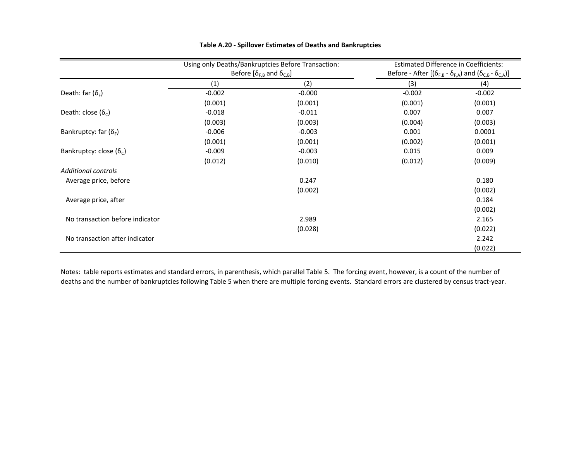|                                  | Using only Deaths/Bankruptcies Before Transaction:<br>Before $[\delta_{F,B}$ and $\delta_{C,B}]$ |          | <b>Estimated Difference in Coefficients:</b><br>Before - After $[(\delta_{F,B} - \delta_{F,A})$ and $(\delta_{C,B} - \delta_{C,A})]$ |          |
|----------------------------------|--------------------------------------------------------------------------------------------------|----------|--------------------------------------------------------------------------------------------------------------------------------------|----------|
|                                  |                                                                                                  |          |                                                                                                                                      |          |
|                                  | (1)                                                                                              | (2)      | (3)                                                                                                                                  | (4)      |
| Death: far $(\delta_F)$          | $-0.002$                                                                                         | $-0.000$ | $-0.002$                                                                                                                             | $-0.002$ |
|                                  | (0.001)                                                                                          | (0.001)  | (0.001)                                                                                                                              | (0.001)  |
| Death: close $(\delta_c)$        | $-0.018$                                                                                         | $-0.011$ | 0.007                                                                                                                                | 0.007    |
|                                  | (0.003)                                                                                          | (0.003)  | (0.004)                                                                                                                              | (0.003)  |
| Bankruptcy: far $(\delta_F)$     | $-0.006$                                                                                         | $-0.003$ | 0.001                                                                                                                                | 0.0001   |
|                                  | (0.001)                                                                                          | (0.001)  | (0.002)                                                                                                                              | (0.001)  |
| Bankruptcy: close ( $\delta_c$ ) | $-0.009$                                                                                         | $-0.003$ | 0.015                                                                                                                                | 0.009    |
|                                  | (0.012)                                                                                          | (0.010)  | (0.012)                                                                                                                              | (0.009)  |
| <b>Additional controls</b>       |                                                                                                  |          |                                                                                                                                      |          |
| Average price, before            |                                                                                                  | 0.247    |                                                                                                                                      | 0.180    |
|                                  |                                                                                                  | (0.002)  |                                                                                                                                      | (0.002)  |
| Average price, after             |                                                                                                  |          |                                                                                                                                      | 0.184    |
|                                  |                                                                                                  |          |                                                                                                                                      | (0.002)  |
| No transaction before indicator  |                                                                                                  | 2.989    |                                                                                                                                      | 2.165    |
|                                  |                                                                                                  | (0.028)  |                                                                                                                                      | (0.022)  |
| No transaction after indicator   |                                                                                                  |          |                                                                                                                                      | 2.242    |
|                                  |                                                                                                  |          |                                                                                                                                      | (0.022)  |

### **Table A.20 ‐ Spillover Estimates of Deaths and Bankruptcies**

Notes: table reports estimates and standard errors, in parenthesis, which parallel Table 5. The forcing event, however, is <sup>a</sup> count of the number of deaths and the number of bankruptcies following Table 5 when there are multiple forcing events. Standard errors are clustered by census tract‐year.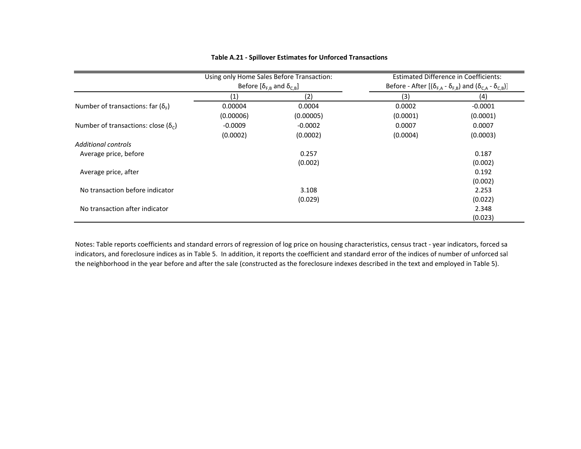|                                                | Using only Home Sales Before Transaction:<br>Before $[\delta_{F,B}$ and $\delta_{C,B}]$ |           | <b>Estimated Difference in Coefficients:</b><br>Before - After $[(\delta_{F,A} - \delta_{F,B})$ and $(\delta_{C,A} - \delta_{C,B})]$ |           |
|------------------------------------------------|-----------------------------------------------------------------------------------------|-----------|--------------------------------------------------------------------------------------------------------------------------------------|-----------|
|                                                | (1)                                                                                     | (2)       | (3)                                                                                                                                  | (4)       |
| Number of transactions: far $(\delta_{\rm F})$ | 0.00004                                                                                 | 0.0004    | 0.0002                                                                                                                               | $-0.0001$ |
|                                                | (0.00006)                                                                               | (0.00005) | (0.0001)                                                                                                                             | (0.0001)  |
| Number of transactions: close ( $\delta_c$ )   | $-0.0009$                                                                               | $-0.0002$ | 0.0007                                                                                                                               | 0.0007    |
|                                                | (0.0002)                                                                                | (0.0002)  | (0.0004)                                                                                                                             | (0.0003)  |
| <b>Additional controls</b>                     |                                                                                         |           |                                                                                                                                      |           |
| Average price, before                          |                                                                                         | 0.257     |                                                                                                                                      | 0.187     |
|                                                |                                                                                         | (0.002)   |                                                                                                                                      | (0.002)   |
| Average price, after                           |                                                                                         |           |                                                                                                                                      | 0.192     |
|                                                |                                                                                         |           |                                                                                                                                      | (0.002)   |
| No transaction before indicator                |                                                                                         | 3.108     |                                                                                                                                      | 2.253     |
| No transaction after indicator                 |                                                                                         | (0.029)   |                                                                                                                                      | (0.022)   |
|                                                |                                                                                         |           |                                                                                                                                      | 2.348     |
|                                                |                                                                                         |           |                                                                                                                                      | (0.023)   |

## **Table A.21 ‐ Spillover Estimates for Unforced Transactions**

Notes: Table reports coefficients and standard errors of regression of log price on housing characteristics, census tract ‐ year indicators, forced sa indicators, and foreclosure indices as in Table 5. In addition, it reports the coefficient and standard error of the indices of number of unforced sal the neighborhood in the year before and after the sale (constructed as the foreclosure indexes described in the text and employed in Table 5).